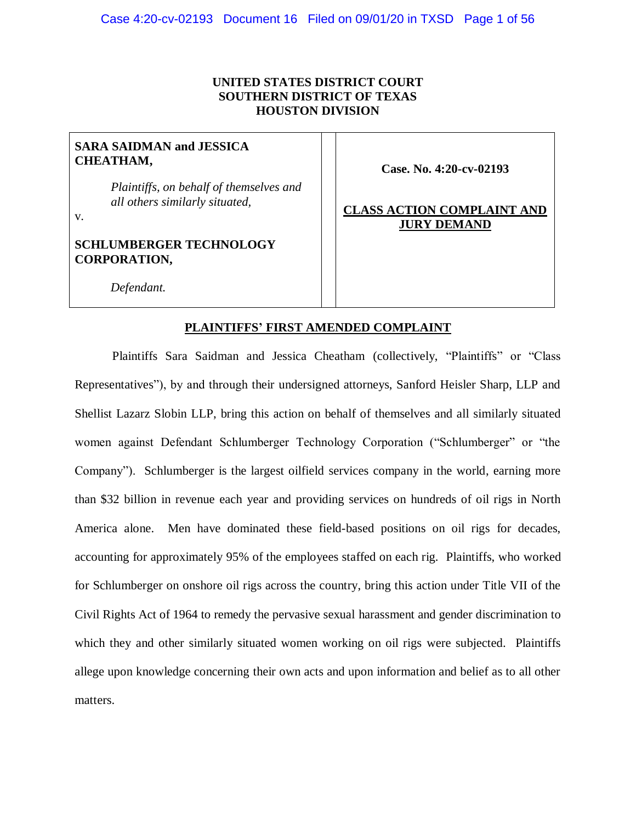# **UNITED STATES DISTRICT COURT SOUTHERN DISTRICT OF TEXAS HOUSTON DIVISION**

# **SARA SAIDMAN and JESSICA CHEATHAM,**

*Plaintiffs, on behalf of themselves and all others similarly situated,*

v.

# **SCHLUMBERGER TECHNOLOGY CORPORATION,**

**Case. No. 4:20-cv-02193**

# **CLASS ACTION COMPLAINT AND JURY DEMAND**

*Defendant.*

# **PLAINTIFFS' FIRST AMENDED COMPLAINT**

Plaintiffs Sara Saidman and Jessica Cheatham (collectively, "Plaintiffs" or "Class Representatives"), by and through their undersigned attorneys, Sanford Heisler Sharp, LLP and Shellist Lazarz Slobin LLP, bring this action on behalf of themselves and all similarly situated women against Defendant Schlumberger Technology Corporation ("Schlumberger" or "the Company"). Schlumberger is the largest oilfield services company in the world, earning more than \$32 billion in revenue each year and providing services on hundreds of oil rigs in North America alone. Men have dominated these field-based positions on oil rigs for decades, accounting for approximately 95% of the employees staffed on each rig. Plaintiffs, who worked for Schlumberger on onshore oil rigs across the country, bring this action under Title VII of the Civil Rights Act of 1964 to remedy the pervasive sexual harassment and gender discrimination to which they and other similarly situated women working on oil rigs were subjected. Plaintiffs allege upon knowledge concerning their own acts and upon information and belief as to all other matters.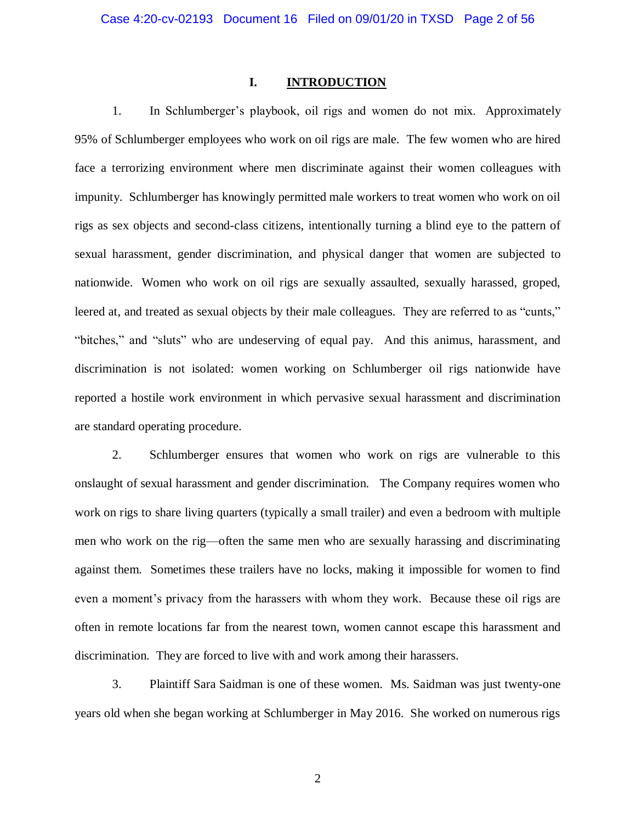## **I. INTRODUCTION**

1. In Schlumberger's playbook, oil rigs and women do not mix. Approximately 95% of Schlumberger employees who work on oil rigs are male. The few women who are hired face a terrorizing environment where men discriminate against their women colleagues with impunity. Schlumberger has knowingly permitted male workers to treat women who work on oil rigs as sex objects and second-class citizens, intentionally turning a blind eye to the pattern of sexual harassment, gender discrimination, and physical danger that women are subjected to nationwide. Women who work on oil rigs are sexually assaulted, sexually harassed, groped, leered at, and treated as sexual objects by their male colleagues. They are referred to as "cunts," "bitches," and "sluts" who are undeserving of equal pay. And this animus, harassment, and discrimination is not isolated: women working on Schlumberger oil rigs nationwide have reported a hostile work environment in which pervasive sexual harassment and discrimination are standard operating procedure.

2. Schlumberger ensures that women who work on rigs are vulnerable to this onslaught of sexual harassment and gender discrimination. The Company requires women who work on rigs to share living quarters (typically a small trailer) and even a bedroom with multiple men who work on the rig—often the same men who are sexually harassing and discriminating against them. Sometimes these trailers have no locks, making it impossible for women to find even a moment's privacy from the harassers with whom they work. Because these oil rigs are often in remote locations far from the nearest town, women cannot escape this harassment and discrimination. They are forced to live with and work among their harassers.

3. Plaintiff Sara Saidman is one of these women. Ms. Saidman was just twenty-one years old when she began working at Schlumberger in May 2016. She worked on numerous rigs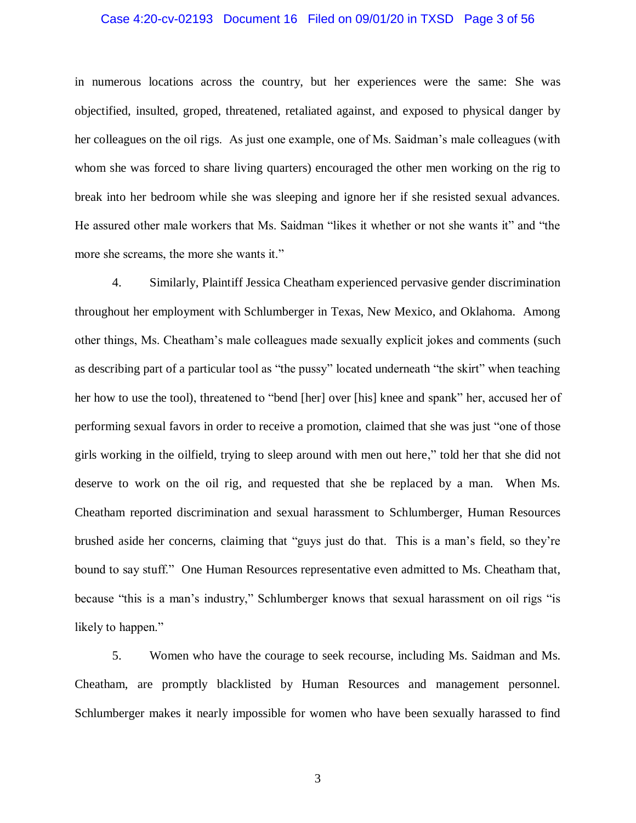#### Case 4:20-cv-02193 Document 16 Filed on 09/01/20 in TXSD Page 3 of 56

in numerous locations across the country, but her experiences were the same: She was objectified, insulted, groped, threatened, retaliated against, and exposed to physical danger by her colleagues on the oil rigs. As just one example, one of Ms. Saidman's male colleagues (with whom she was forced to share living quarters) encouraged the other men working on the rig to break into her bedroom while she was sleeping and ignore her if she resisted sexual advances. He assured other male workers that Ms. Saidman "likes it whether or not she wants it" and "the more she screams, the more she wants it."

4. Similarly, Plaintiff Jessica Cheatham experienced pervasive gender discrimination throughout her employment with Schlumberger in Texas, New Mexico, and Oklahoma. Among other things, Ms. Cheatham's male colleagues made sexually explicit jokes and comments (such as describing part of a particular tool as "the pussy" located underneath "the skirt" when teaching her how to use the tool), threatened to "bend [her] over [his] knee and spank" her, accused her of performing sexual favors in order to receive a promotion, claimed that she was just "one of those girls working in the oilfield, trying to sleep around with men out here," told her that she did not deserve to work on the oil rig, and requested that she be replaced by a man. When Ms. Cheatham reported discrimination and sexual harassment to Schlumberger, Human Resources brushed aside her concerns, claiming that "guys just do that. This is a man's field, so they're bound to say stuff." One Human Resources representative even admitted to Ms. Cheatham that, because "this is a man's industry," Schlumberger knows that sexual harassment on oil rigs "is likely to happen."

5. Women who have the courage to seek recourse, including Ms. Saidman and Ms. Cheatham, are promptly blacklisted by Human Resources and management personnel. Schlumberger makes it nearly impossible for women who have been sexually harassed to find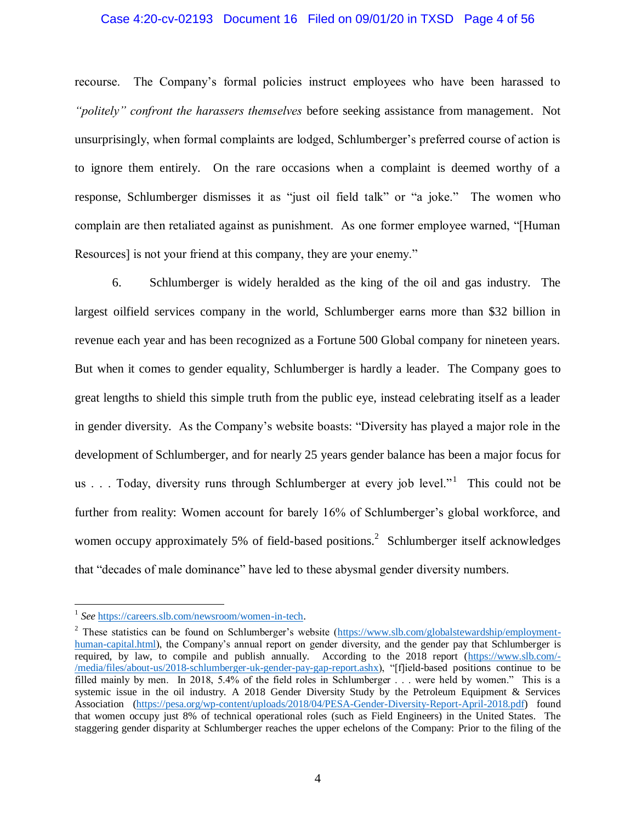#### Case 4:20-cv-02193 Document 16 Filed on 09/01/20 in TXSD Page 4 of 56

recourse. The Company's formal policies instruct employees who have been harassed to *"politely" confront the harassers themselves* before seeking assistance from management. Not unsurprisingly, when formal complaints are lodged, Schlumberger's preferred course of action is to ignore them entirely. On the rare occasions when a complaint is deemed worthy of a response, Schlumberger dismisses it as "just oil field talk" or "a joke." The women who complain are then retaliated against as punishment. As one former employee warned, "[Human Resources] is not your friend at this company, they are your enemy."

6. Schlumberger is widely heralded as the king of the oil and gas industry. The largest oilfield services company in the world, Schlumberger earns more than \$32 billion in revenue each year and has been recognized as a Fortune 500 Global company for nineteen years. But when it comes to gender equality, Schlumberger is hardly a leader. The Company goes to great lengths to shield this simple truth from the public eye, instead celebrating itself as a leader in gender diversity. As the Company's website boasts: "Diversity has played a major role in the development of Schlumberger, and for nearly 25 years gender balance has been a major focus for us . . . Today, diversity runs through Schlumberger at every job level."<sup>1</sup> This could not be further from reality: Women account for barely 16% of Schlumberger's global workforce, and women occupy approximately 5% of field-based positions.<sup>2</sup> Schlumberger itself acknowledges that "decades of male dominance" have led to these abysmal gender diversity numbers.

 $\overline{a}$ 

<sup>1</sup> *See* [https://careers.slb.com/newsroom/women-in-tech.](https://careers.slb.com/newsroom/women-in-tech)

<sup>&</sup>lt;sup>2</sup> These statistics can be found on Schlumberger's website [\(https://www.slb.com/globalstewardship/employment](https://www.slb.com/globalstewardship/employment-human-capital.html)[human-capital.html\)](https://www.slb.com/globalstewardship/employment-human-capital.html), the Company's annual report on gender diversity, and the gender pay that Schlumberger is required, by law, to compile and publish annually. According to the 2018 report [\(https://www.slb.com/-](https://www.slb.com/-/media/files/about-us/2018-schlumberger-uk-gender-pay-gap-report.ashx) [/media/files/about-us/2018-schlumberger-uk-gender-pay-gap-report.ashx\)](https://www.slb.com/-/media/files/about-us/2018-schlumberger-uk-gender-pay-gap-report.ashx), "[f]ield-based positions continue to be filled mainly by men. In 2018, 5.4% of the field roles in Schlumberger . . . were held by women." This is a systemic issue in the oil industry. A 2018 Gender Diversity Study by the Petroleum Equipment & Services Association [\(https://pesa.org/wp-content/uploads/2018/04/PESA-Gender-Diversity-Report-April-2018.pdf\)](https://pesa.org/wp-content/uploads/2018/04/PESA-Gender-Diversity-Report-April-2018.pdf) found that women occupy just 8% of technical operational roles (such as Field Engineers) in the United States. The staggering gender disparity at Schlumberger reaches the upper echelons of the Company: Prior to the filing of the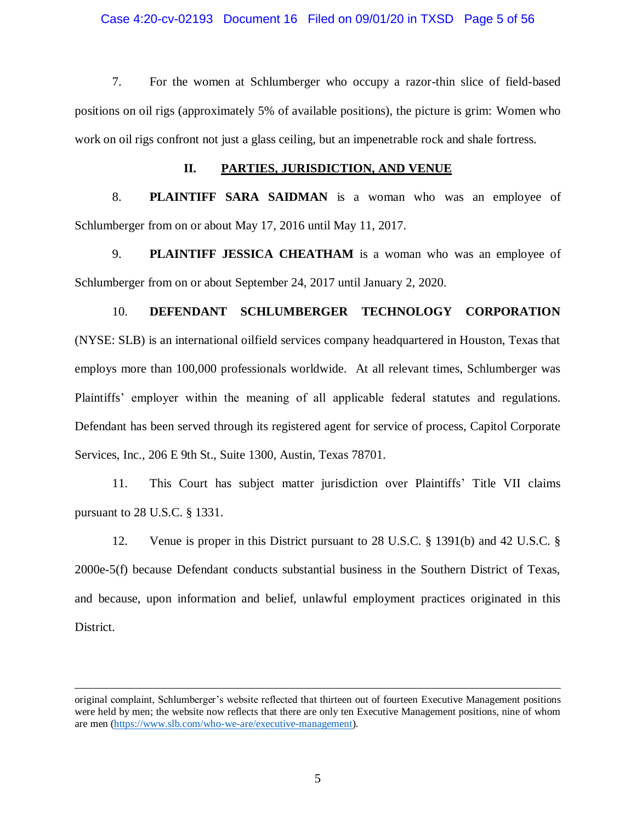#### Case 4:20-cv-02193 Document 16 Filed on 09/01/20 in TXSD Page 5 of 56

7. For the women at Schlumberger who occupy a razor-thin slice of field-based positions on oil rigs (approximately 5% of available positions), the picture is grim: Women who work on oil rigs confront not just a glass ceiling, but an impenetrable rock and shale fortress.

#### **II. PARTIES, JURISDICTION, AND VENUE**

8. **PLAINTIFF SARA SAIDMAN** is a woman who was an employee of Schlumberger from on or about May 17, 2016 until May 11, 2017.

9. **PLAINTIFF JESSICA CHEATHAM** is a woman who was an employee of Schlumberger from on or about September 24, 2017 until January 2, 2020.

# 10. **DEFENDANT SCHLUMBERGER TECHNOLOGY CORPORATION**  (NYSE: SLB) is an international oilfield services company headquartered in Houston, Texas that employs more than 100,000 professionals worldwide. At all relevant times, Schlumberger was Plaintiffs' employer within the meaning of all applicable federal statutes and regulations. Defendant has been served through its registered agent for service of process, Capitol Corporate Services, Inc., 206 E 9th St., Suite 1300, Austin, Texas 78701.

11. This Court has subject matter jurisdiction over Plaintiffs' Title VII claims pursuant to 28 U.S.C. § 1331.

12. Venue is proper in this District pursuant to 28 U.S.C. § 1391(b) and 42 U.S.C. § 2000e-5(f) because Defendant conducts substantial business in the Southern District of Texas, and because, upon information and belief, unlawful employment practices originated in this District.

 $\overline{a}$ 

original complaint, Schlumberger's website reflected that thirteen out of fourteen Executive Management positions were held by men; the website now reflects that there are only ten Executive Management positions, nine of whom are men [\(https://www.slb.com/who-we-are/executive-management\)](https://www.slb.com/who-we-are/executive-management).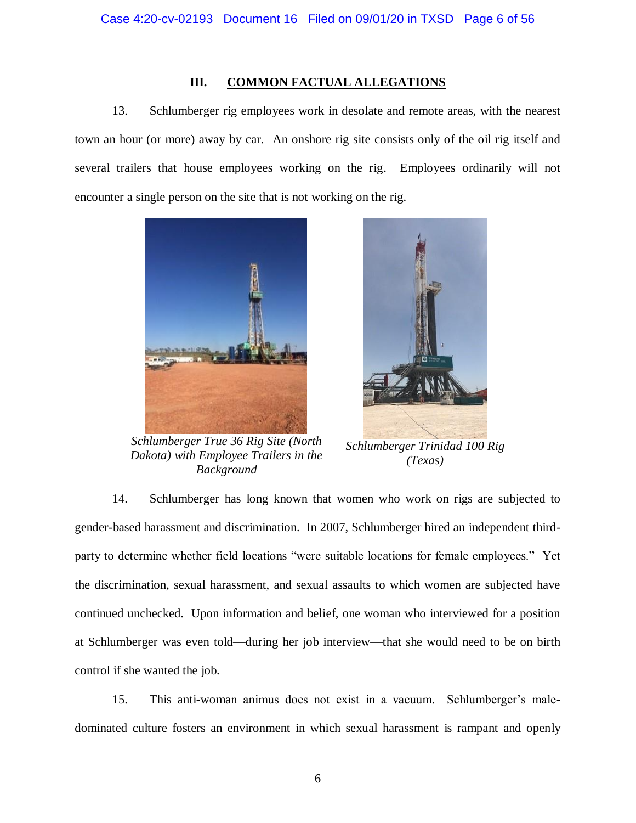## **III. COMMON FACTUAL ALLEGATIONS**

13. Schlumberger rig employees work in desolate and remote areas, with the nearest town an hour (or more) away by car. An onshore rig site consists only of the oil rig itself and several trailers that house employees working on the rig. Employees ordinarily will not encounter a single person on the site that is not working on the rig.



*Schlumberger True 36 Rig Site (North Dakota) with Employee Trailers in the Background*



*Schlumberger Trinidad 100 Rig (Texas)*

14. Schlumberger has long known that women who work on rigs are subjected to gender-based harassment and discrimination. In 2007, Schlumberger hired an independent thirdparty to determine whether field locations "were suitable locations for female employees." Yet the discrimination, sexual harassment, and sexual assaults to which women are subjected have continued unchecked. Upon information and belief, one woman who interviewed for a position at Schlumberger was even told—during her job interview—that she would need to be on birth control if she wanted the job.

15. This anti-woman animus does not exist in a vacuum. Schlumberger's maledominated culture fosters an environment in which sexual harassment is rampant and openly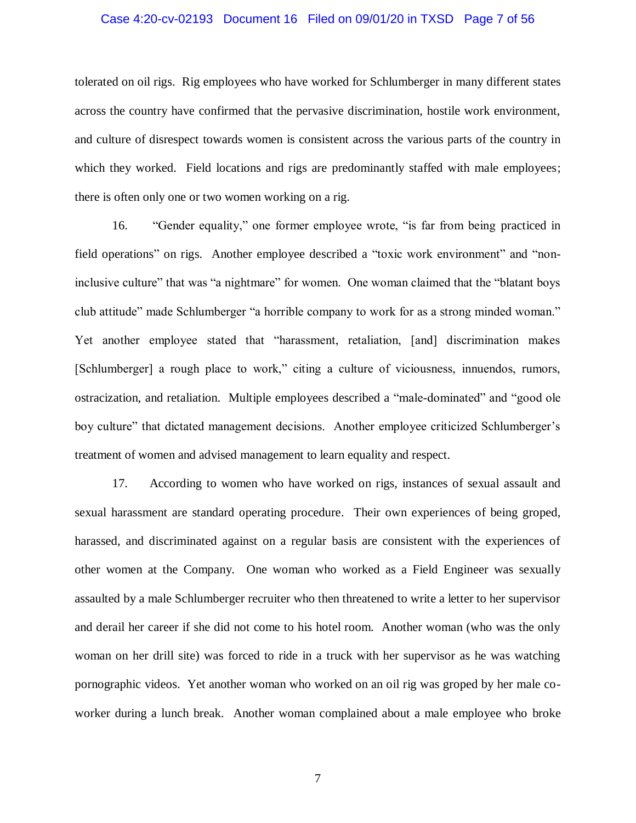#### Case 4:20-cv-02193 Document 16 Filed on 09/01/20 in TXSD Page 7 of 56

tolerated on oil rigs. Rig employees who have worked for Schlumberger in many different states across the country have confirmed that the pervasive discrimination, hostile work environment, and culture of disrespect towards women is consistent across the various parts of the country in which they worked. Field locations and rigs are predominantly staffed with male employees; there is often only one or two women working on a rig.

16. "Gender equality," one former employee wrote, "is far from being practiced in field operations" on rigs. Another employee described a "toxic work environment" and "noninclusive culture" that was "a nightmare" for women. One woman claimed that the "blatant boys club attitude" made Schlumberger "a horrible company to work for as a strong minded woman." Yet another employee stated that "harassment, retaliation, [and] discrimination makes [Schlumberger] a rough place to work," citing a culture of viciousness, innuendos, rumors, ostracization, and retaliation. Multiple employees described a "male-dominated" and "good ole boy culture" that dictated management decisions. Another employee criticized Schlumberger's treatment of women and advised management to learn equality and respect.

17. According to women who have worked on rigs, instances of sexual assault and sexual harassment are standard operating procedure. Their own experiences of being groped, harassed, and discriminated against on a regular basis are consistent with the experiences of other women at the Company. One woman who worked as a Field Engineer was sexually assaulted by a male Schlumberger recruiter who then threatened to write a letter to her supervisor and derail her career if she did not come to his hotel room. Another woman (who was the only woman on her drill site) was forced to ride in a truck with her supervisor as he was watching pornographic videos. Yet another woman who worked on an oil rig was groped by her male coworker during a lunch break. Another woman complained about a male employee who broke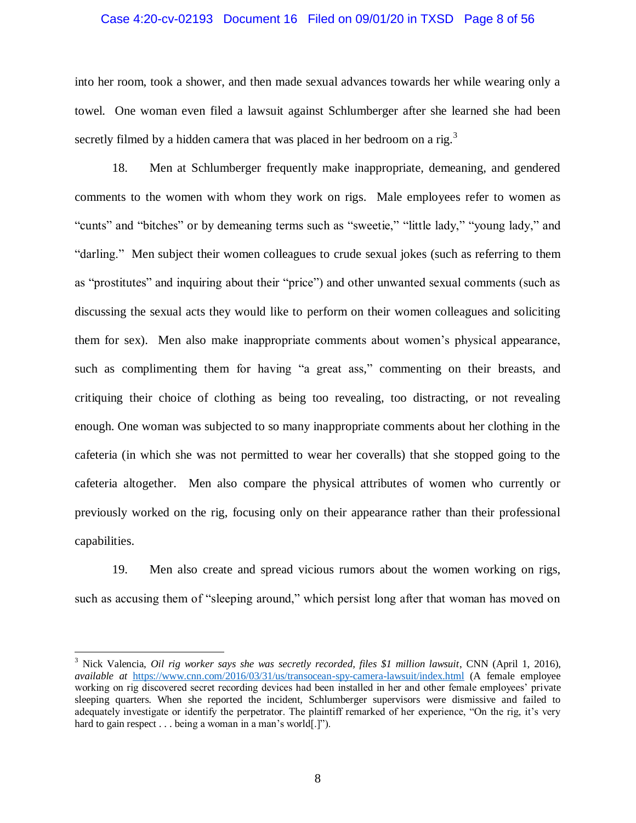#### Case 4:20-cv-02193 Document 16 Filed on 09/01/20 in TXSD Page 8 of 56

into her room, took a shower, and then made sexual advances towards her while wearing only a towel. One woman even filed a lawsuit against Schlumberger after she learned she had been secretly filmed by a hidden camera that was placed in her bedroom on a rig.<sup>3</sup>

18. Men at Schlumberger frequently make inappropriate, demeaning, and gendered comments to the women with whom they work on rigs. Male employees refer to women as "cunts" and "bitches" or by demeaning terms such as "sweetie," "little lady," "young lady," and "darling." Men subject their women colleagues to crude sexual jokes (such as referring to them as "prostitutes" and inquiring about their "price") and other unwanted sexual comments (such as discussing the sexual acts they would like to perform on their women colleagues and soliciting them for sex). Men also make inappropriate comments about women's physical appearance, such as complimenting them for having "a great ass," commenting on their breasts, and critiquing their choice of clothing as being too revealing, too distracting, or not revealing enough. One woman was subjected to so many inappropriate comments about her clothing in the cafeteria (in which she was not permitted to wear her coveralls) that she stopped going to the cafeteria altogether. Men also compare the physical attributes of women who currently or previously worked on the rig, focusing only on their appearance rather than their professional capabilities.

19. Men also create and spread vicious rumors about the women working on rigs, such as accusing them of "sleeping around," which persist long after that woman has moved on

 $\overline{a}$ 

<sup>&</sup>lt;sup>3</sup> Nick Valencia, *Oil rig worker says she was secretly recorded, files* \$1 million lawsuit, CNN (April 1, 2016), *available at* <https://www.cnn.com/2016/03/31/us/transocean-spy-camera-lawsuit/index.html> (A female employee working on rig discovered secret recording devices had been installed in her and other female employees' private sleeping quarters. When she reported the incident, Schlumberger supervisors were dismissive and failed to adequately investigate or identify the perpetrator. The plaintiff remarked of her experience, "On the rig, it's very hard to gain respect . . . being a woman in a man's world[.]").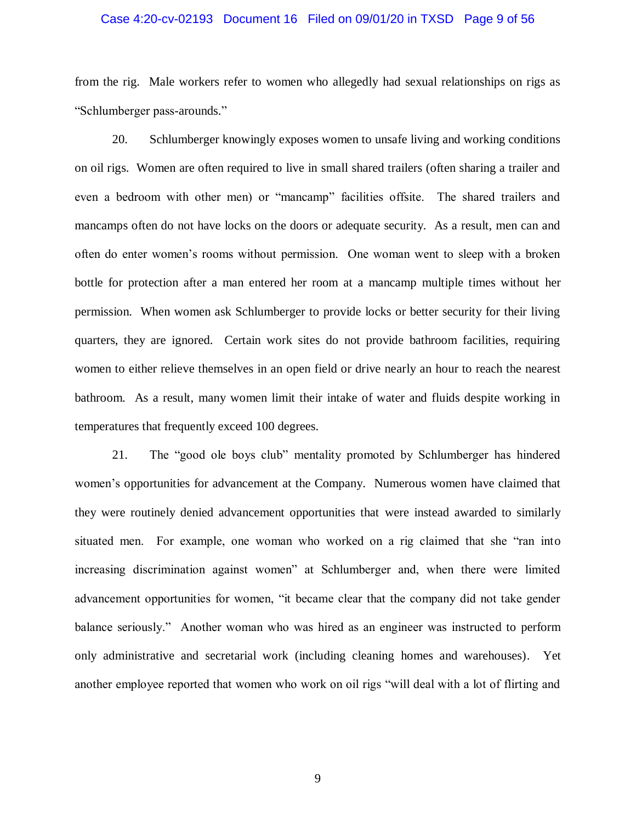#### Case 4:20-cv-02193 Document 16 Filed on 09/01/20 in TXSD Page 9 of 56

from the rig. Male workers refer to women who allegedly had sexual relationships on rigs as "Schlumberger pass-arounds."

20. Schlumberger knowingly exposes women to unsafe living and working conditions on oil rigs. Women are often required to live in small shared trailers (often sharing a trailer and even a bedroom with other men) or "mancamp" facilities offsite. The shared trailers and mancamps often do not have locks on the doors or adequate security. As a result, men can and often do enter women's rooms without permission. One woman went to sleep with a broken bottle for protection after a man entered her room at a mancamp multiple times without her permission. When women ask Schlumberger to provide locks or better security for their living quarters, they are ignored. Certain work sites do not provide bathroom facilities, requiring women to either relieve themselves in an open field or drive nearly an hour to reach the nearest bathroom. As a result, many women limit their intake of water and fluids despite working in temperatures that frequently exceed 100 degrees.

21. The "good ole boys club" mentality promoted by Schlumberger has hindered women's opportunities for advancement at the Company. Numerous women have claimed that they were routinely denied advancement opportunities that were instead awarded to similarly situated men. For example, one woman who worked on a rig claimed that she "ran into increasing discrimination against women" at Schlumberger and, when there were limited advancement opportunities for women, "it became clear that the company did not take gender balance seriously." Another woman who was hired as an engineer was instructed to perform only administrative and secretarial work (including cleaning homes and warehouses). Yet another employee reported that women who work on oil rigs "will deal with a lot of flirting and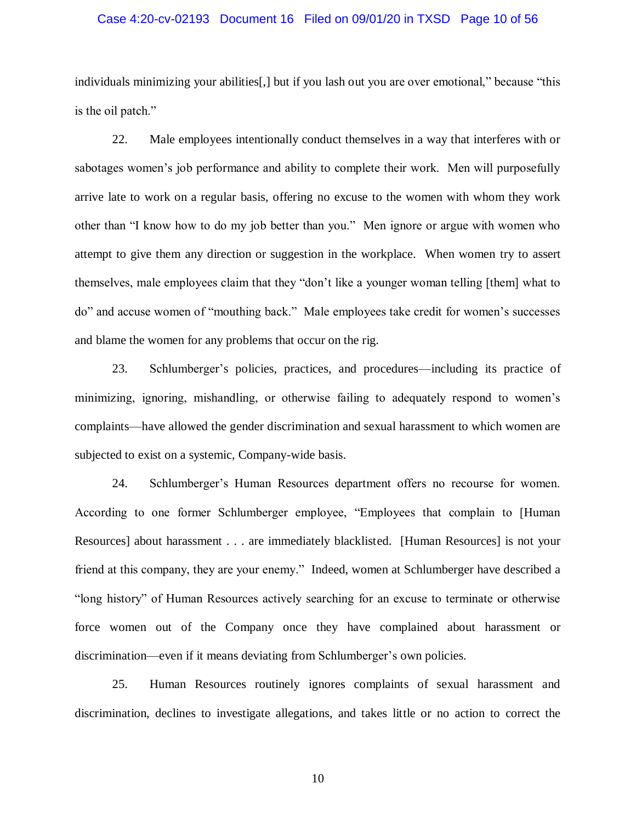#### Case 4:20-cv-02193 Document 16 Filed on 09/01/20 in TXSD Page 10 of 56

individuals minimizing your abilities[,] but if you lash out you are over emotional," because "this is the oil patch."

22. Male employees intentionally conduct themselves in a way that interferes with or sabotages women's job performance and ability to complete their work. Men will purposefully arrive late to work on a regular basis, offering no excuse to the women with whom they work other than "I know how to do my job better than you." Men ignore or argue with women who attempt to give them any direction or suggestion in the workplace. When women try to assert themselves, male employees claim that they "don't like a younger woman telling [them] what to do" and accuse women of "mouthing back." Male employees take credit for women's successes and blame the women for any problems that occur on the rig.

23. Schlumberger's policies, practices, and procedures—including its practice of minimizing, ignoring, mishandling, or otherwise failing to adequately respond to women's complaints—have allowed the gender discrimination and sexual harassment to which women are subjected to exist on a systemic, Company-wide basis.

24. Schlumberger's Human Resources department offers no recourse for women. According to one former Schlumberger employee, "Employees that complain to [Human Resources] about harassment . . . are immediately blacklisted. [Human Resources] is not your friend at this company, they are your enemy." Indeed, women at Schlumberger have described a "long history" of Human Resources actively searching for an excuse to terminate or otherwise force women out of the Company once they have complained about harassment or discrimination—even if it means deviating from Schlumberger's own policies.

25. Human Resources routinely ignores complaints of sexual harassment and discrimination, declines to investigate allegations, and takes little or no action to correct the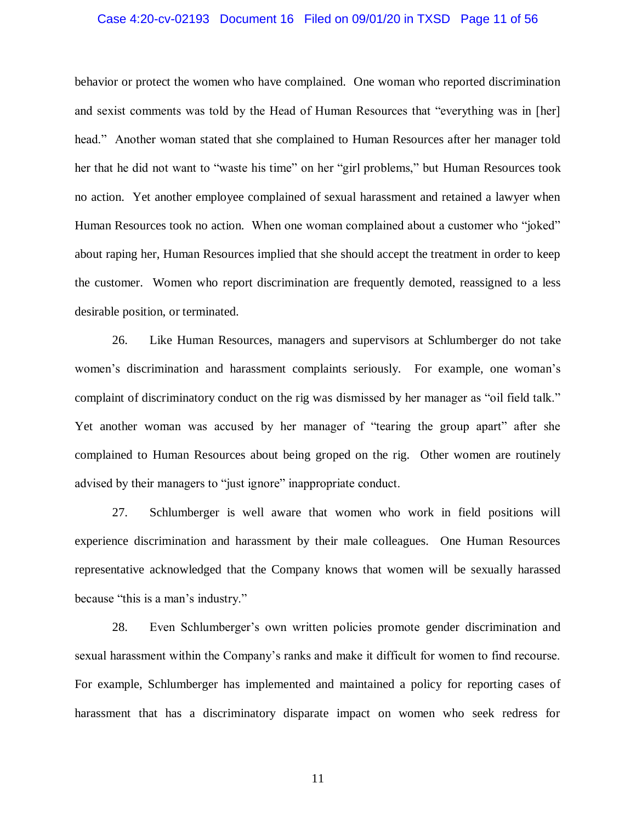#### Case 4:20-cv-02193 Document 16 Filed on 09/01/20 in TXSD Page 11 of 56

behavior or protect the women who have complained. One woman who reported discrimination and sexist comments was told by the Head of Human Resources that "everything was in [her] head." Another woman stated that she complained to Human Resources after her manager told her that he did not want to "waste his time" on her "girl problems," but Human Resources took no action. Yet another employee complained of sexual harassment and retained a lawyer when Human Resources took no action. When one woman complained about a customer who "joked" about raping her, Human Resources implied that she should accept the treatment in order to keep the customer. Women who report discrimination are frequently demoted, reassigned to a less desirable position, or terminated.

26. Like Human Resources, managers and supervisors at Schlumberger do not take women's discrimination and harassment complaints seriously. For example, one woman's complaint of discriminatory conduct on the rig was dismissed by her manager as "oil field talk." Yet another woman was accused by her manager of "tearing the group apart" after she complained to Human Resources about being groped on the rig. Other women are routinely advised by their managers to "just ignore" inappropriate conduct.

27. Schlumberger is well aware that women who work in field positions will experience discrimination and harassment by their male colleagues. One Human Resources representative acknowledged that the Company knows that women will be sexually harassed because "this is a man's industry."

28. Even Schlumberger's own written policies promote gender discrimination and sexual harassment within the Company's ranks and make it difficult for women to find recourse. For example, Schlumberger has implemented and maintained a policy for reporting cases of harassment that has a discriminatory disparate impact on women who seek redress for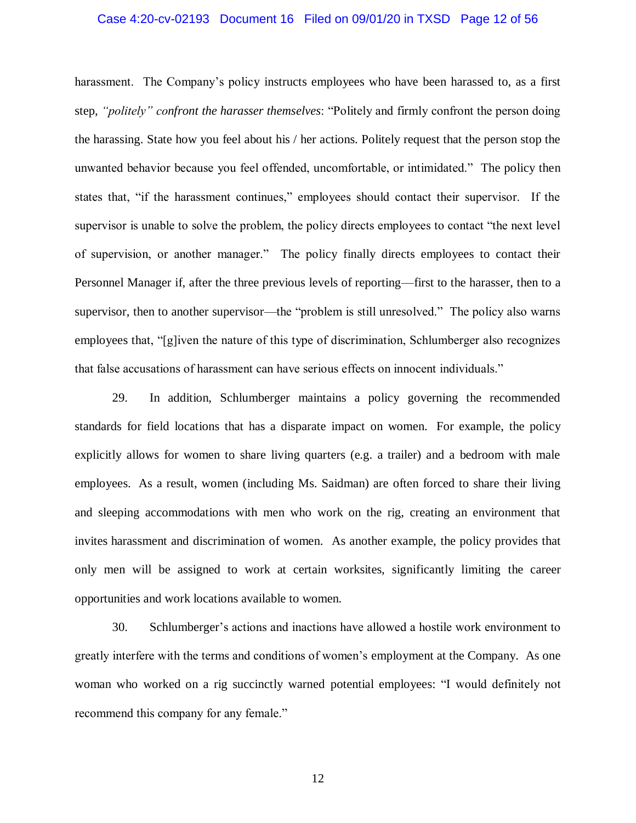#### Case 4:20-cv-02193 Document 16 Filed on 09/01/20 in TXSD Page 12 of 56

harassment. The Company's policy instructs employees who have been harassed to, as a first step, *"politely" confront the harasser themselves*: "Politely and firmly confront the person doing the harassing. State how you feel about his / her actions. Politely request that the person stop the unwanted behavior because you feel offended, uncomfortable, or intimidated." The policy then states that, "if the harassment continues," employees should contact their supervisor. If the supervisor is unable to solve the problem, the policy directs employees to contact "the next level of supervision, or another manager." The policy finally directs employees to contact their Personnel Manager if, after the three previous levels of reporting—first to the harasser, then to a supervisor, then to another supervisor—the "problem is still unresolved." The policy also warns employees that, "[g]iven the nature of this type of discrimination, Schlumberger also recognizes that false accusations of harassment can have serious effects on innocent individuals."

29. In addition, Schlumberger maintains a policy governing the recommended standards for field locations that has a disparate impact on women. For example, the policy explicitly allows for women to share living quarters (e.g. a trailer) and a bedroom with male employees. As a result, women (including Ms. Saidman) are often forced to share their living and sleeping accommodations with men who work on the rig, creating an environment that invites harassment and discrimination of women. As another example, the policy provides that only men will be assigned to work at certain worksites, significantly limiting the career opportunities and work locations available to women.

30. Schlumberger's actions and inactions have allowed a hostile work environment to greatly interfere with the terms and conditions of women's employment at the Company. As one woman who worked on a rig succinctly warned potential employees: "I would definitely not recommend this company for any female."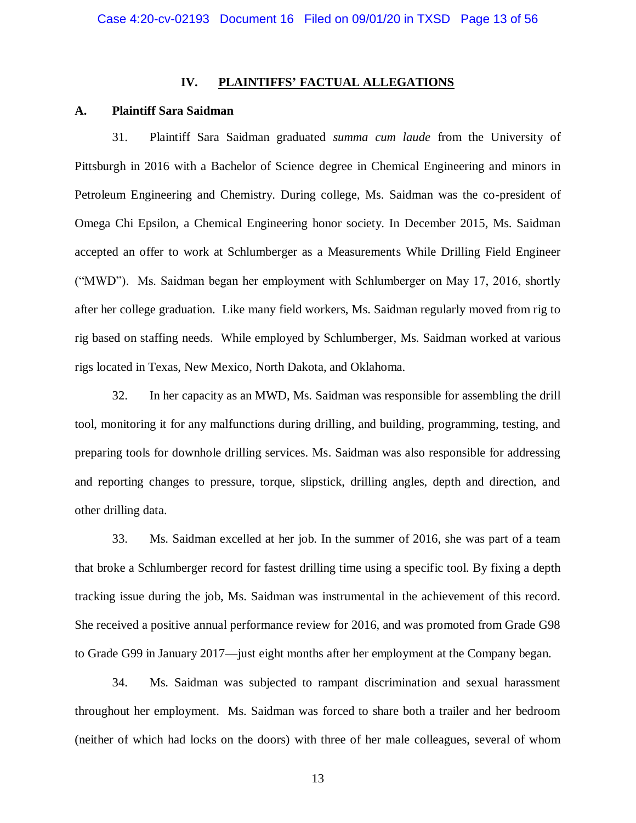## **IV. PLAINTIFFS' FACTUAL ALLEGATIONS**

## **A. Plaintiff Sara Saidman**

31. Plaintiff Sara Saidman graduated *summa cum laude* from the University of Pittsburgh in 2016 with a Bachelor of Science degree in Chemical Engineering and minors in Petroleum Engineering and Chemistry. During college, Ms. Saidman was the co-president of Omega Chi Epsilon, a Chemical Engineering honor society. In December 2015, Ms. Saidman accepted an offer to work at Schlumberger as a Measurements While Drilling Field Engineer ("MWD"). Ms. Saidman began her employment with Schlumberger on May 17, 2016, shortly after her college graduation. Like many field workers, Ms. Saidman regularly moved from rig to rig based on staffing needs. While employed by Schlumberger, Ms. Saidman worked at various rigs located in Texas, New Mexico, North Dakota, and Oklahoma.

32. In her capacity as an MWD, Ms. Saidman was responsible for assembling the drill tool, monitoring it for any malfunctions during drilling, and building, programming, testing, and preparing tools for downhole drilling services. Ms. Saidman was also responsible for addressing and reporting changes to pressure, torque, slipstick, drilling angles, depth and direction, and other drilling data.

33. Ms. Saidman excelled at her job. In the summer of 2016, she was part of a team that broke a Schlumberger record for fastest drilling time using a specific tool. By fixing a depth tracking issue during the job, Ms. Saidman was instrumental in the achievement of this record. She received a positive annual performance review for 2016, and was promoted from Grade G98 to Grade G99 in January 2017—just eight months after her employment at the Company began.

34. Ms. Saidman was subjected to rampant discrimination and sexual harassment throughout her employment. Ms. Saidman was forced to share both a trailer and her bedroom (neither of which had locks on the doors) with three of her male colleagues, several of whom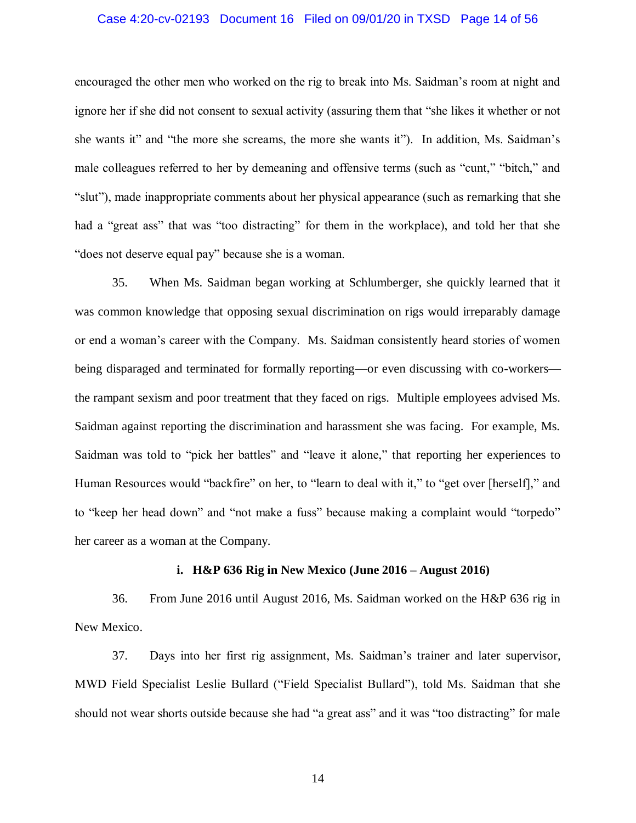#### Case 4:20-cv-02193 Document 16 Filed on 09/01/20 in TXSD Page 14 of 56

encouraged the other men who worked on the rig to break into Ms. Saidman's room at night and ignore her if she did not consent to sexual activity (assuring them that "she likes it whether or not she wants it" and "the more she screams, the more she wants it"). In addition, Ms. Saidman's male colleagues referred to her by demeaning and offensive terms (such as "cunt," "bitch," and "slut"), made inappropriate comments about her physical appearance (such as remarking that she had a "great ass" that was "too distracting" for them in the workplace), and told her that she "does not deserve equal pay" because she is a woman.

35. When Ms. Saidman began working at Schlumberger, she quickly learned that it was common knowledge that opposing sexual discrimination on rigs would irreparably damage or end a woman's career with the Company. Ms. Saidman consistently heard stories of women being disparaged and terminated for formally reporting—or even discussing with co-workers the rampant sexism and poor treatment that they faced on rigs. Multiple employees advised Ms. Saidman against reporting the discrimination and harassment she was facing. For example, Ms. Saidman was told to "pick her battles" and "leave it alone," that reporting her experiences to Human Resources would "backfire" on her, to "learn to deal with it," to "get over [herself]," and to "keep her head down" and "not make a fuss" because making a complaint would "torpedo" her career as a woman at the Company.

#### **i. H&P 636 Rig in New Mexico (June 2016 – August 2016)**

36. From June 2016 until August 2016, Ms. Saidman worked on the H&P 636 rig in New Mexico.

37. Days into her first rig assignment, Ms. Saidman's trainer and later supervisor, MWD Field Specialist Leslie Bullard ("Field Specialist Bullard"), told Ms. Saidman that she should not wear shorts outside because she had "a great ass" and it was "too distracting" for male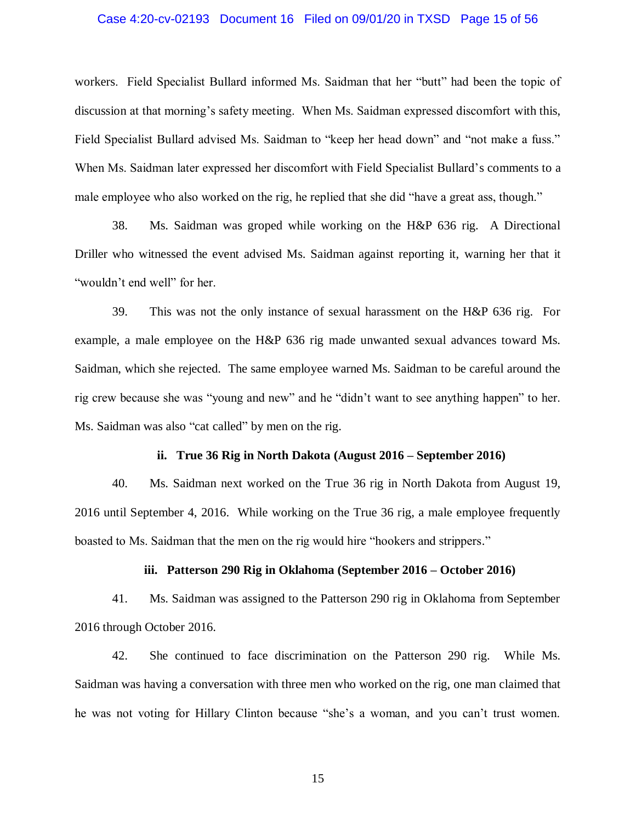#### Case 4:20-cv-02193 Document 16 Filed on 09/01/20 in TXSD Page 15 of 56

workers. Field Specialist Bullard informed Ms. Saidman that her "butt" had been the topic of discussion at that morning's safety meeting. When Ms. Saidman expressed discomfort with this, Field Specialist Bullard advised Ms. Saidman to "keep her head down" and "not make a fuss." When Ms. Saidman later expressed her discomfort with Field Specialist Bullard's comments to a male employee who also worked on the rig, he replied that she did "have a great ass, though."

38. Ms. Saidman was groped while working on the H&P 636 rig. A Directional Driller who witnessed the event advised Ms. Saidman against reporting it, warning her that it "wouldn't end well" for her.

39. This was not the only instance of sexual harassment on the H&P 636 rig. For example, a male employee on the H&P 636 rig made unwanted sexual advances toward Ms. Saidman, which she rejected. The same employee warned Ms. Saidman to be careful around the rig crew because she was "young and new" and he "didn't want to see anything happen" to her. Ms. Saidman was also "cat called" by men on the rig.

#### **ii. True 36 Rig in North Dakota (August 2016 – September 2016)**

40. Ms. Saidman next worked on the True 36 rig in North Dakota from August 19, 2016 until September 4, 2016. While working on the True 36 rig, a male employee frequently boasted to Ms. Saidman that the men on the rig would hire "hookers and strippers."

#### **iii. Patterson 290 Rig in Oklahoma (September 2016 – October 2016)**

41. Ms. Saidman was assigned to the Patterson 290 rig in Oklahoma from September 2016 through October 2016.

42. She continued to face discrimination on the Patterson 290 rig. While Ms. Saidman was having a conversation with three men who worked on the rig, one man claimed that he was not voting for Hillary Clinton because "she's a woman, and you can't trust women.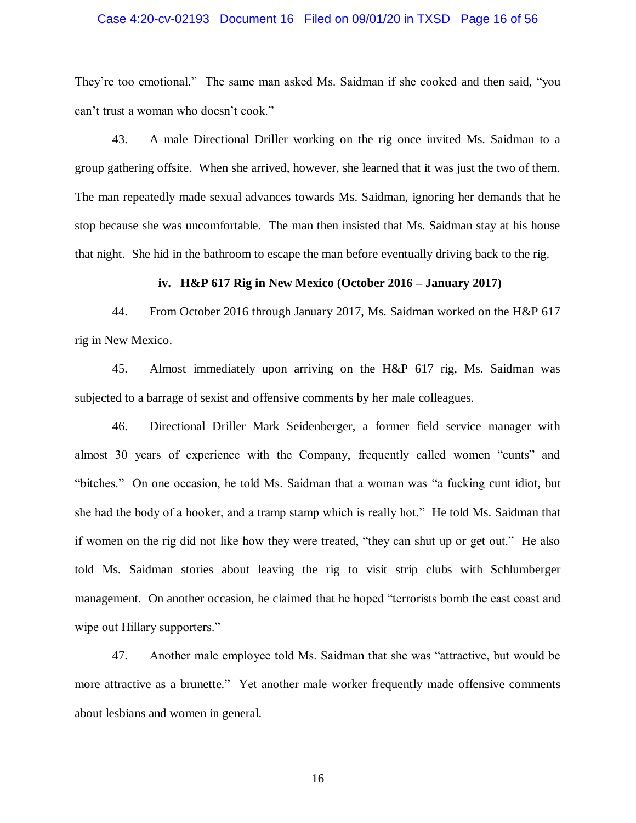#### Case 4:20-cv-02193 Document 16 Filed on 09/01/20 in TXSD Page 16 of 56

They're too emotional." The same man asked Ms. Saidman if she cooked and then said, "you can't trust a woman who doesn't cook."

43. A male Directional Driller working on the rig once invited Ms. Saidman to a group gathering offsite. When she arrived, however, she learned that it was just the two of them. The man repeatedly made sexual advances towards Ms. Saidman, ignoring her demands that he stop because she was uncomfortable. The man then insisted that Ms. Saidman stay at his house that night. She hid in the bathroom to escape the man before eventually driving back to the rig.

#### **iv. H&P 617 Rig in New Mexico (October 2016 – January 2017)**

44. From October 2016 through January 2017, Ms. Saidman worked on the H&P 617 rig in New Mexico.

45. Almost immediately upon arriving on the H&P 617 rig, Ms. Saidman was subjected to a barrage of sexist and offensive comments by her male colleagues.

46. Directional Driller Mark Seidenberger, a former field service manager with almost 30 years of experience with the Company, frequently called women "cunts" and "bitches." On one occasion, he told Ms. Saidman that a woman was "a fucking cunt idiot, but she had the body of a hooker, and a tramp stamp which is really hot." He told Ms. Saidman that if women on the rig did not like how they were treated, "they can shut up or get out." He also told Ms. Saidman stories about leaving the rig to visit strip clubs with Schlumberger management. On another occasion, he claimed that he hoped "terrorists bomb the east coast and wipe out Hillary supporters."

47. Another male employee told Ms. Saidman that she was "attractive, but would be more attractive as a brunette." Yet another male worker frequently made offensive comments about lesbians and women in general.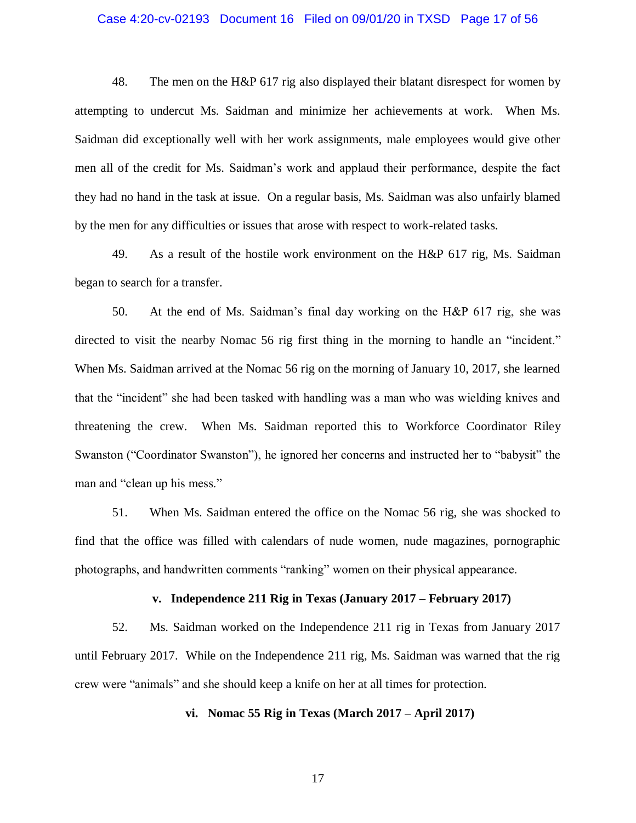#### Case 4:20-cv-02193 Document 16 Filed on 09/01/20 in TXSD Page 17 of 56

48. The men on the H&P 617 rig also displayed their blatant disrespect for women by attempting to undercut Ms. Saidman and minimize her achievements at work. When Ms. Saidman did exceptionally well with her work assignments, male employees would give other men all of the credit for Ms. Saidman's work and applaud their performance, despite the fact they had no hand in the task at issue. On a regular basis, Ms. Saidman was also unfairly blamed by the men for any difficulties or issues that arose with respect to work-related tasks.

49. As a result of the hostile work environment on the H&P 617 rig, Ms. Saidman began to search for a transfer.

50. At the end of Ms. Saidman's final day working on the H&P 617 rig, she was directed to visit the nearby Nomac 56 rig first thing in the morning to handle an "incident." When Ms. Saidman arrived at the Nomac 56 rig on the morning of January 10, 2017, she learned that the "incident" she had been tasked with handling was a man who was wielding knives and threatening the crew. When Ms. Saidman reported this to Workforce Coordinator Riley Swanston ("Coordinator Swanston"), he ignored her concerns and instructed her to "babysit" the man and "clean up his mess."

51. When Ms. Saidman entered the office on the Nomac 56 rig, she was shocked to find that the office was filled with calendars of nude women, nude magazines, pornographic photographs, and handwritten comments "ranking" women on their physical appearance.

#### **v. Independence 211 Rig in Texas (January 2017 – February 2017)**

52. Ms. Saidman worked on the Independence 211 rig in Texas from January 2017 until February 2017. While on the Independence 211 rig, Ms. Saidman was warned that the rig crew were "animals" and she should keep a knife on her at all times for protection.

# **vi. Nomac 55 Rig in Texas (March 2017 – April 2017)**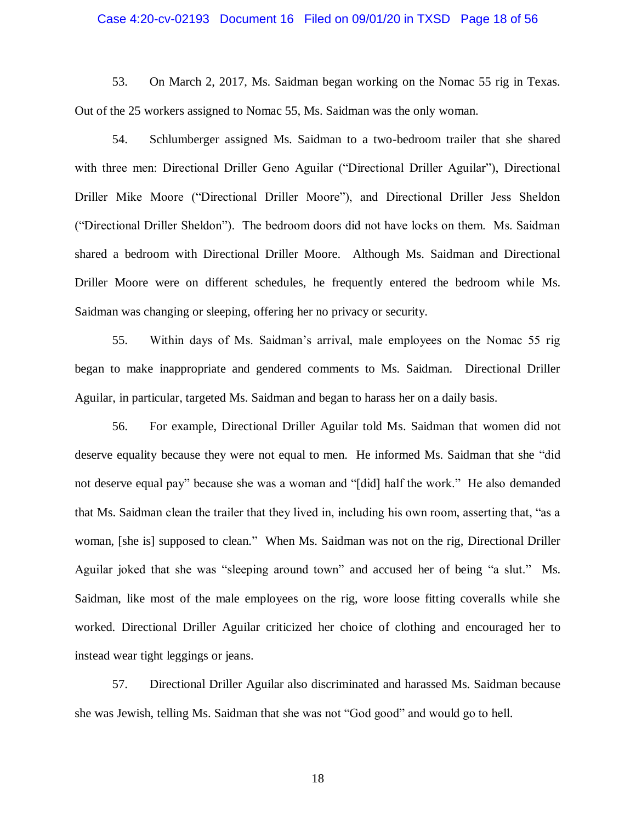#### Case 4:20-cv-02193 Document 16 Filed on 09/01/20 in TXSD Page 18 of 56

53. On March 2, 2017, Ms. Saidman began working on the Nomac 55 rig in Texas. Out of the 25 workers assigned to Nomac 55, Ms. Saidman was the only woman.

54. Schlumberger assigned Ms. Saidman to a two-bedroom trailer that she shared with three men: Directional Driller Geno Aguilar ("Directional Driller Aguilar"), Directional Driller Mike Moore ("Directional Driller Moore"), and Directional Driller Jess Sheldon ("Directional Driller Sheldon"). The bedroom doors did not have locks on them. Ms. Saidman shared a bedroom with Directional Driller Moore. Although Ms. Saidman and Directional Driller Moore were on different schedules, he frequently entered the bedroom while Ms. Saidman was changing or sleeping, offering her no privacy or security.

55. Within days of Ms. Saidman's arrival, male employees on the Nomac 55 rig began to make inappropriate and gendered comments to Ms. Saidman. Directional Driller Aguilar, in particular, targeted Ms. Saidman and began to harass her on a daily basis.

56. For example, Directional Driller Aguilar told Ms. Saidman that women did not deserve equality because they were not equal to men. He informed Ms. Saidman that she "did not deserve equal pay" because she was a woman and "[did] half the work." He also demanded that Ms. Saidman clean the trailer that they lived in, including his own room, asserting that, "as a woman, [she is] supposed to clean." When Ms. Saidman was not on the rig, Directional Driller Aguilar joked that she was "sleeping around town" and accused her of being "a slut." Ms. Saidman, like most of the male employees on the rig, wore loose fitting coveralls while she worked. Directional Driller Aguilar criticized her choice of clothing and encouraged her to instead wear tight leggings or jeans.

57. Directional Driller Aguilar also discriminated and harassed Ms. Saidman because she was Jewish, telling Ms. Saidman that she was not "God good" and would go to hell.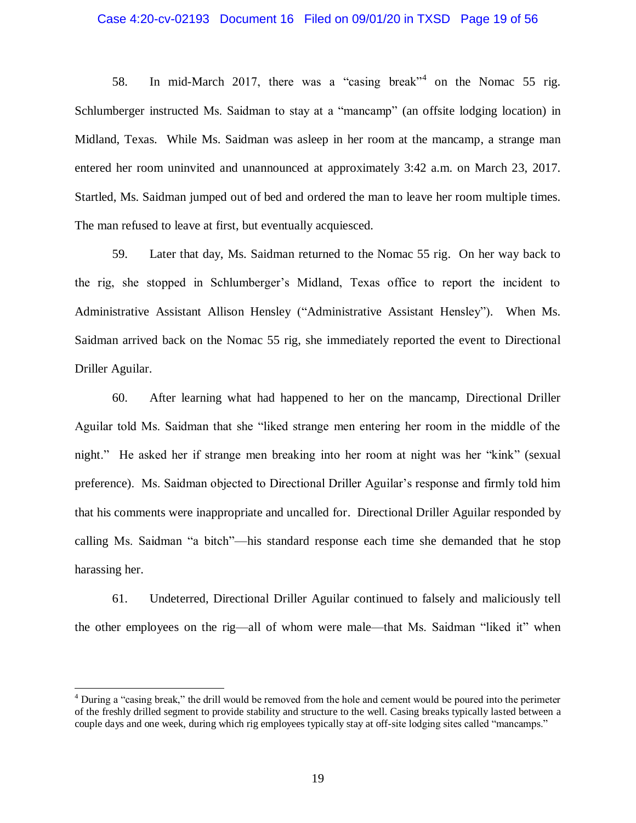#### Case 4:20-cv-02193 Document 16 Filed on 09/01/20 in TXSD Page 19 of 56

58. In mid-March 2017, there was a "casing break"<sup>4</sup> on the Nomac 55 rig. Schlumberger instructed Ms. Saidman to stay at a "mancamp" (an offsite lodging location) in Midland, Texas. While Ms. Saidman was asleep in her room at the mancamp, a strange man entered her room uninvited and unannounced at approximately 3:42 a.m. on March 23, 2017. Startled, Ms. Saidman jumped out of bed and ordered the man to leave her room multiple times. The man refused to leave at first, but eventually acquiesced.

59. Later that day, Ms. Saidman returned to the Nomac 55 rig. On her way back to the rig, she stopped in Schlumberger's Midland, Texas office to report the incident to Administrative Assistant Allison Hensley ("Administrative Assistant Hensley"). When Ms. Saidman arrived back on the Nomac 55 rig, she immediately reported the event to Directional Driller Aguilar.

60. After learning what had happened to her on the mancamp, Directional Driller Aguilar told Ms. Saidman that she "liked strange men entering her room in the middle of the night." He asked her if strange men breaking into her room at night was her "kink" (sexual preference). Ms. Saidman objected to Directional Driller Aguilar's response and firmly told him that his comments were inappropriate and uncalled for. Directional Driller Aguilar responded by calling Ms. Saidman "a bitch"—his standard response each time she demanded that he stop harassing her.

61. Undeterred, Directional Driller Aguilar continued to falsely and maliciously tell the other employees on the rig—all of whom were male—that Ms. Saidman "liked it" when

 $\overline{a}$ 

<sup>&</sup>lt;sup>4</sup> During a "casing break," the drill would be removed from the hole and cement would be poured into the perimeter of the freshly drilled segment to provide stability and structure to the well. Casing breaks typically lasted between a couple days and one week, during which rig employees typically stay at off-site lodging sites called "mancamps."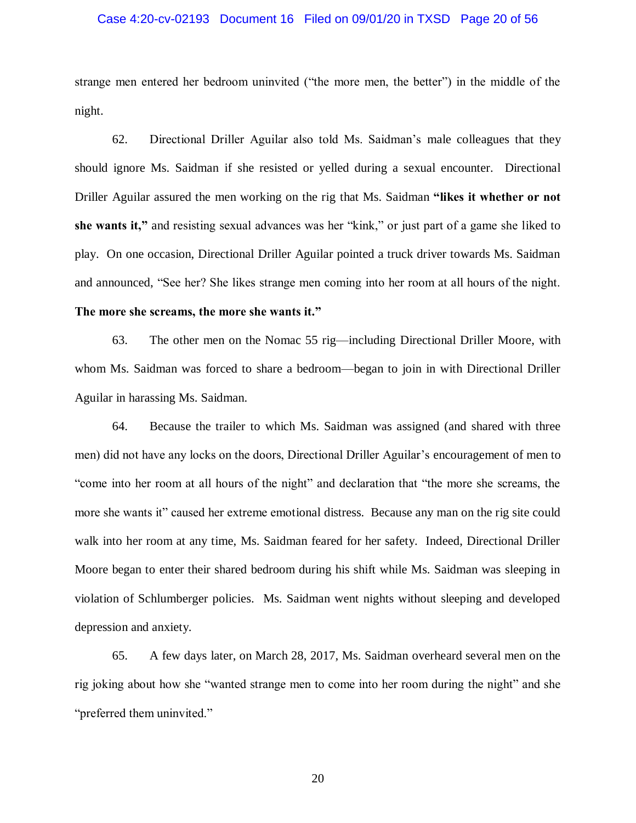#### Case 4:20-cv-02193 Document 16 Filed on 09/01/20 in TXSD Page 20 of 56

strange men entered her bedroom uninvited ("the more men, the better") in the middle of the night.

62. Directional Driller Aguilar also told Ms. Saidman's male colleagues that they should ignore Ms. Saidman if she resisted or yelled during a sexual encounter. Directional Driller Aguilar assured the men working on the rig that Ms. Saidman **"likes it whether or not she wants it,"** and resisting sexual advances was her "kink," or just part of a game she liked to play. On one occasion, Directional Driller Aguilar pointed a truck driver towards Ms. Saidman and announced, "See her? She likes strange men coming into her room at all hours of the night.

# **The more she screams, the more she wants it."**

63. The other men on the Nomac 55 rig—including Directional Driller Moore, with whom Ms. Saidman was forced to share a bedroom—began to join in with Directional Driller Aguilar in harassing Ms. Saidman.

64. Because the trailer to which Ms. Saidman was assigned (and shared with three men) did not have any locks on the doors, Directional Driller Aguilar's encouragement of men to "come into her room at all hours of the night" and declaration that "the more she screams, the more she wants it" caused her extreme emotional distress. Because any man on the rig site could walk into her room at any time, Ms. Saidman feared for her safety. Indeed, Directional Driller Moore began to enter their shared bedroom during his shift while Ms. Saidman was sleeping in violation of Schlumberger policies. Ms. Saidman went nights without sleeping and developed depression and anxiety.

65. A few days later, on March 28, 2017, Ms. Saidman overheard several men on the rig joking about how she "wanted strange men to come into her room during the night" and she "preferred them uninvited."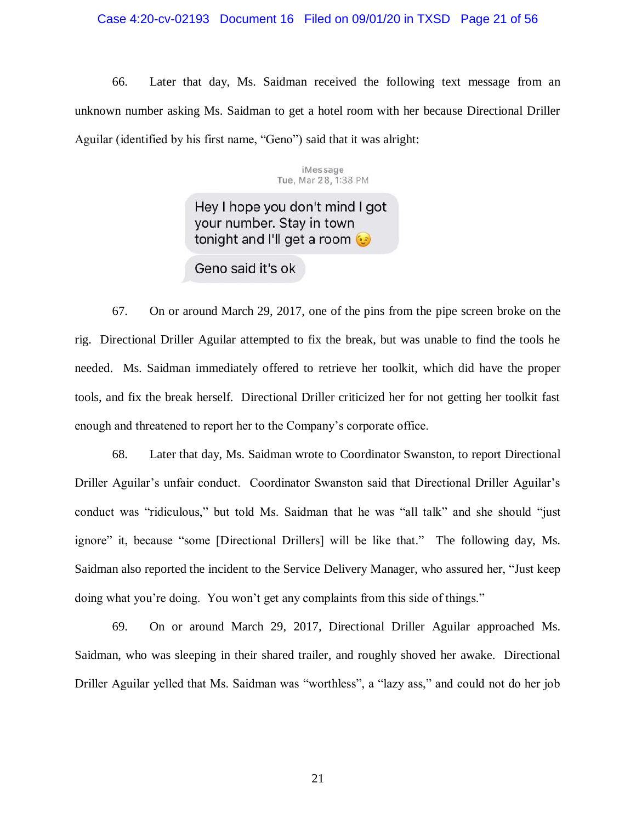#### Case 4:20-cv-02193 Document 16 Filed on 09/01/20 in TXSD Page 21 of 56

66. Later that day, Ms. Saidman received the following text message from an unknown number asking Ms. Saidman to get a hotel room with her because Directional Driller Aguilar (identified by his first name, "Geno") said that it was alright:

> iMessage Tue, Mar 28, 1:38 PM

Hey I hope you don't mind I got your number. Stay in town tonight and I'll get a room

Geno said it's ok

67. On or around March 29, 2017, one of the pins from the pipe screen broke on the rig. Directional Driller Aguilar attempted to fix the break, but was unable to find the tools he needed. Ms. Saidman immediately offered to retrieve her toolkit, which did have the proper tools, and fix the break herself. Directional Driller criticized her for not getting her toolkit fast enough and threatened to report her to the Company's corporate office.

68. Later that day, Ms. Saidman wrote to Coordinator Swanston, to report Directional Driller Aguilar's unfair conduct. Coordinator Swanston said that Directional Driller Aguilar's conduct was "ridiculous," but told Ms. Saidman that he was "all talk" and she should "just ignore" it, because "some [Directional Drillers] will be like that." The following day, Ms. Saidman also reported the incident to the Service Delivery Manager, who assured her, "Just keep doing what you're doing. You won't get any complaints from this side of things."

69. On or around March 29, 2017, Directional Driller Aguilar approached Ms. Saidman, who was sleeping in their shared trailer, and roughly shoved her awake. Directional Driller Aguilar yelled that Ms. Saidman was "worthless", a "lazy ass," and could not do her job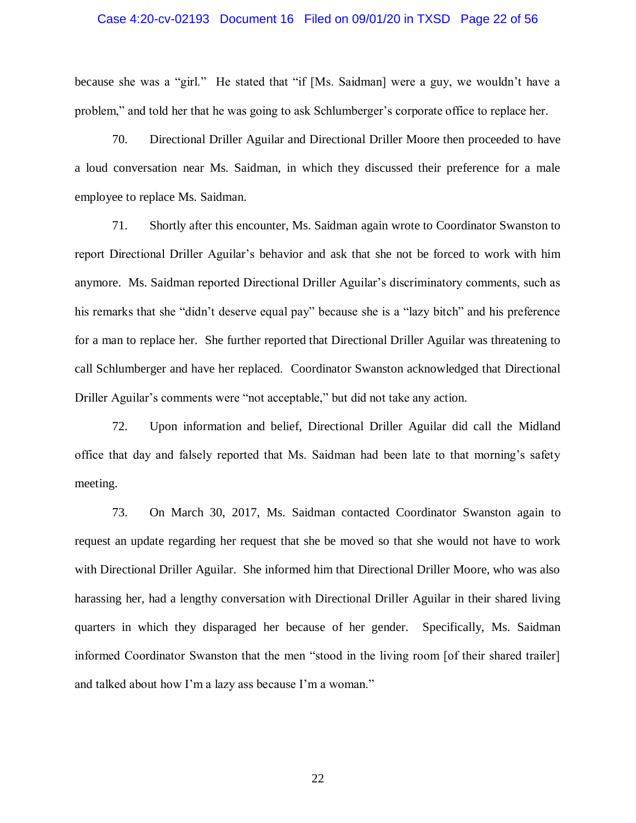#### Case 4:20-cv-02193 Document 16 Filed on 09/01/20 in TXSD Page 22 of 56

because she was a "girl." He stated that "if [Ms. Saidman] were a guy, we wouldn't have a problem," and told her that he was going to ask Schlumberger's corporate office to replace her.

70. Directional Driller Aguilar and Directional Driller Moore then proceeded to have a loud conversation near Ms. Saidman, in which they discussed their preference for a male employee to replace Ms. Saidman.

71. Shortly after this encounter, Ms. Saidman again wrote to Coordinator Swanston to report Directional Driller Aguilar's behavior and ask that she not be forced to work with him anymore. Ms. Saidman reported Directional Driller Aguilar's discriminatory comments, such as his remarks that she "didn't deserve equal pay" because she is a "lazy bitch" and his preference for a man to replace her. She further reported that Directional Driller Aguilar was threatening to call Schlumberger and have her replaced. Coordinator Swanston acknowledged that Directional Driller Aguilar's comments were "not acceptable," but did not take any action.

72. Upon information and belief, Directional Driller Aguilar did call the Midland office that day and falsely reported that Ms. Saidman had been late to that morning's safety meeting.

73. On March 30, 2017, Ms. Saidman contacted Coordinator Swanston again to request an update regarding her request that she be moved so that she would not have to work with Directional Driller Aguilar. She informed him that Directional Driller Moore, who was also harassing her, had a lengthy conversation with Directional Driller Aguilar in their shared living quarters in which they disparaged her because of her gender. Specifically, Ms. Saidman informed Coordinator Swanston that the men "stood in the living room [of their shared trailer] and talked about how I'm a lazy ass because I'm a woman."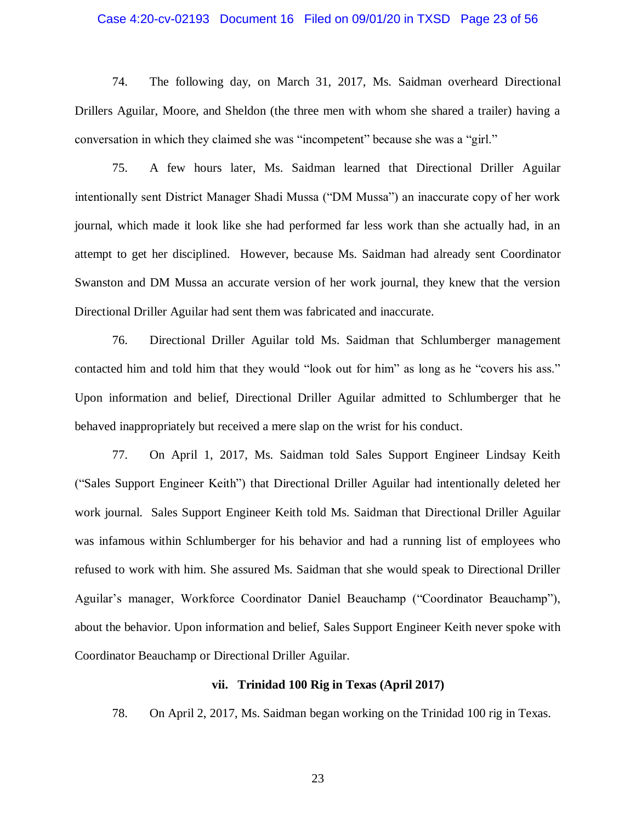#### Case 4:20-cv-02193 Document 16 Filed on 09/01/20 in TXSD Page 23 of 56

74. The following day, on March 31, 2017, Ms. Saidman overheard Directional Drillers Aguilar, Moore, and Sheldon (the three men with whom she shared a trailer) having a conversation in which they claimed she was "incompetent" because she was a "girl."

75. A few hours later, Ms. Saidman learned that Directional Driller Aguilar intentionally sent District Manager Shadi Mussa ("DM Mussa") an inaccurate copy of her work journal, which made it look like she had performed far less work than she actually had, in an attempt to get her disciplined. However, because Ms. Saidman had already sent Coordinator Swanston and DM Mussa an accurate version of her work journal, they knew that the version Directional Driller Aguilar had sent them was fabricated and inaccurate.

76. Directional Driller Aguilar told Ms. Saidman that Schlumberger management contacted him and told him that they would "look out for him" as long as he "covers his ass." Upon information and belief, Directional Driller Aguilar admitted to Schlumberger that he behaved inappropriately but received a mere slap on the wrist for his conduct.

77. On April 1, 2017, Ms. Saidman told Sales Support Engineer Lindsay Keith ("Sales Support Engineer Keith") that Directional Driller Aguilar had intentionally deleted her work journal. Sales Support Engineer Keith told Ms. Saidman that Directional Driller Aguilar was infamous within Schlumberger for his behavior and had a running list of employees who refused to work with him. She assured Ms. Saidman that she would speak to Directional Driller Aguilar's manager, Workforce Coordinator Daniel Beauchamp ("Coordinator Beauchamp"), about the behavior. Upon information and belief, Sales Support Engineer Keith never spoke with Coordinator Beauchamp or Directional Driller Aguilar.

# **vii. Trinidad 100 Rig in Texas (April 2017)**

78. On April 2, 2017, Ms. Saidman began working on the Trinidad 100 rig in Texas.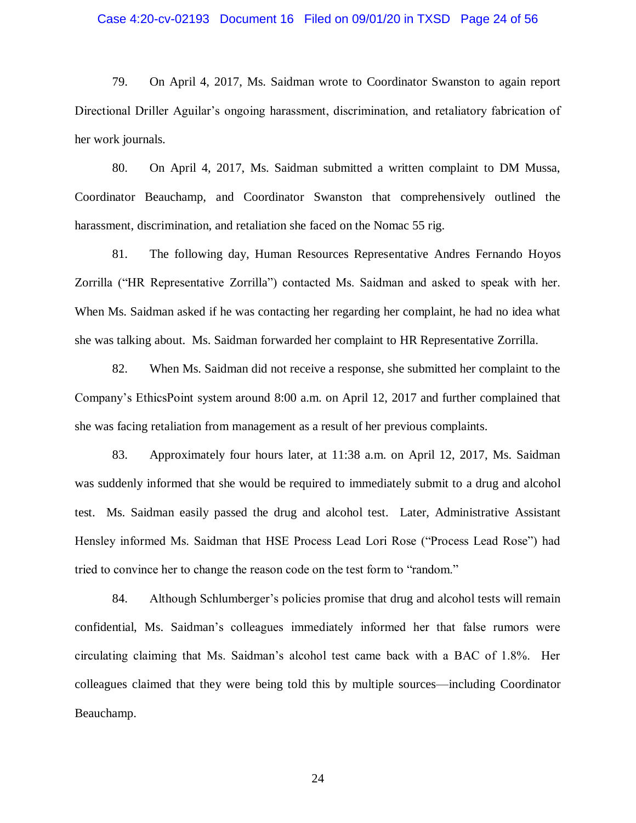#### Case 4:20-cv-02193 Document 16 Filed on 09/01/20 in TXSD Page 24 of 56

79. On April 4, 2017, Ms. Saidman wrote to Coordinator Swanston to again report Directional Driller Aguilar's ongoing harassment, discrimination, and retaliatory fabrication of her work journals.

80. On April 4, 2017, Ms. Saidman submitted a written complaint to DM Mussa, Coordinator Beauchamp, and Coordinator Swanston that comprehensively outlined the harassment, discrimination, and retaliation she faced on the Nomac 55 rig.

81. The following day, Human Resources Representative Andres Fernando Hoyos Zorrilla ("HR Representative Zorrilla") contacted Ms. Saidman and asked to speak with her. When Ms. Saidman asked if he was contacting her regarding her complaint, he had no idea what she was talking about. Ms. Saidman forwarded her complaint to HR Representative Zorrilla.

82. When Ms. Saidman did not receive a response, she submitted her complaint to the Company's EthicsPoint system around 8:00 a.m. on April 12, 2017 and further complained that she was facing retaliation from management as a result of her previous complaints.

83. Approximately four hours later, at 11:38 a.m. on April 12, 2017, Ms. Saidman was suddenly informed that she would be required to immediately submit to a drug and alcohol test. Ms. Saidman easily passed the drug and alcohol test. Later, Administrative Assistant Hensley informed Ms. Saidman that HSE Process Lead Lori Rose ("Process Lead Rose") had tried to convince her to change the reason code on the test form to "random."

84. Although Schlumberger's policies promise that drug and alcohol tests will remain confidential, Ms. Saidman's colleagues immediately informed her that false rumors were circulating claiming that Ms. Saidman's alcohol test came back with a BAC of 1.8%. Her colleagues claimed that they were being told this by multiple sources—including Coordinator Beauchamp.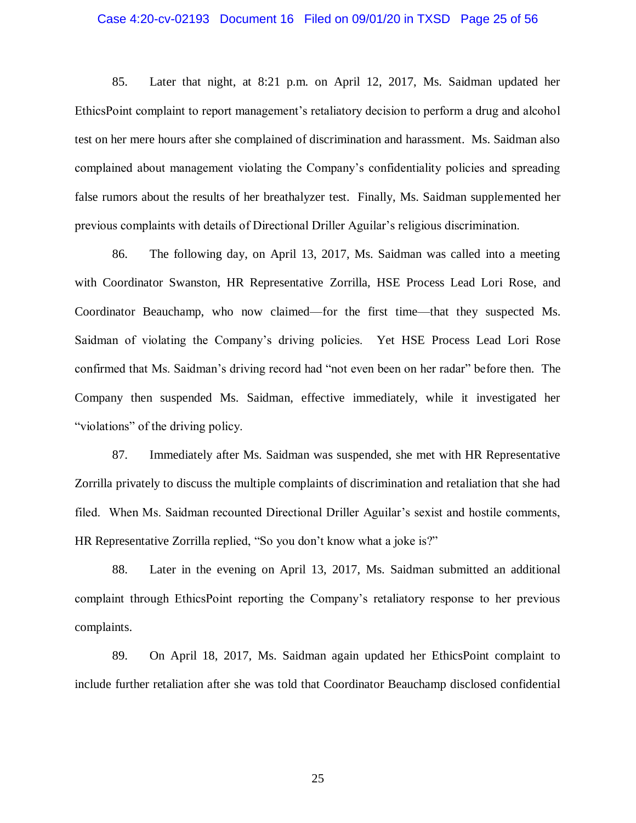#### Case 4:20-cv-02193 Document 16 Filed on 09/01/20 in TXSD Page 25 of 56

85. Later that night, at 8:21 p.m. on April 12, 2017, Ms. Saidman updated her EthicsPoint complaint to report management's retaliatory decision to perform a drug and alcohol test on her mere hours after she complained of discrimination and harassment. Ms. Saidman also complained about management violating the Company's confidentiality policies and spreading false rumors about the results of her breathalyzer test. Finally, Ms. Saidman supplemented her previous complaints with details of Directional Driller Aguilar's religious discrimination.

86. The following day, on April 13, 2017, Ms. Saidman was called into a meeting with Coordinator Swanston, HR Representative Zorrilla, HSE Process Lead Lori Rose, and Coordinator Beauchamp, who now claimed—for the first time—that they suspected Ms. Saidman of violating the Company's driving policies. Yet HSE Process Lead Lori Rose confirmed that Ms. Saidman's driving record had "not even been on her radar" before then. The Company then suspended Ms. Saidman, effective immediately, while it investigated her "violations" of the driving policy.

87. Immediately after Ms. Saidman was suspended, she met with HR Representative Zorrilla privately to discuss the multiple complaints of discrimination and retaliation that she had filed. When Ms. Saidman recounted Directional Driller Aguilar's sexist and hostile comments, HR Representative Zorrilla replied, "So you don't know what a joke is?"

88. Later in the evening on April 13, 2017, Ms. Saidman submitted an additional complaint through EthicsPoint reporting the Company's retaliatory response to her previous complaints.

89. On April 18, 2017, Ms. Saidman again updated her EthicsPoint complaint to include further retaliation after she was told that Coordinator Beauchamp disclosed confidential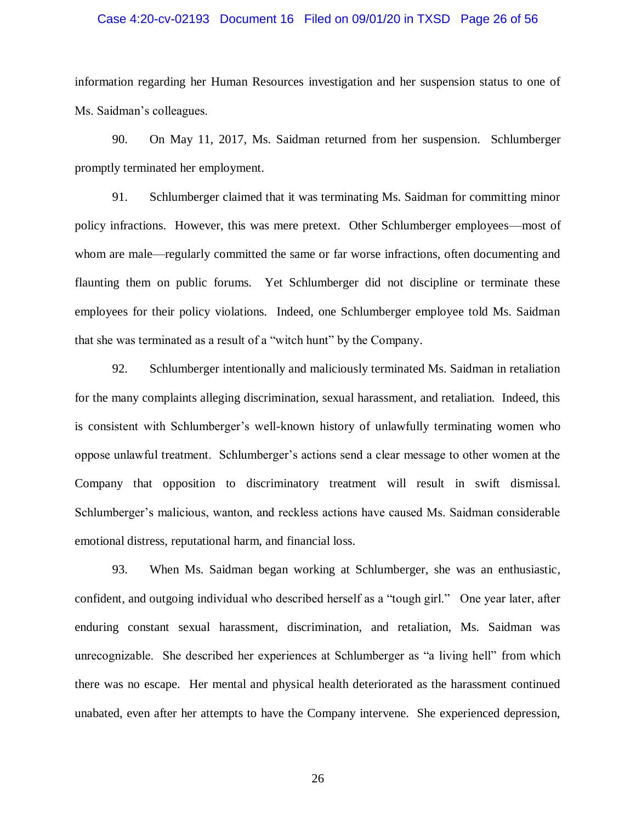#### Case 4:20-cv-02193 Document 16 Filed on 09/01/20 in TXSD Page 26 of 56

information regarding her Human Resources investigation and her suspension status to one of Ms. Saidman's colleagues.

90. On May 11, 2017, Ms. Saidman returned from her suspension. Schlumberger promptly terminated her employment.

91. Schlumberger claimed that it was terminating Ms. Saidman for committing minor policy infractions. However, this was mere pretext. Other Schlumberger employees—most of whom are male—regularly committed the same or far worse infractions, often documenting and flaunting them on public forums. Yet Schlumberger did not discipline or terminate these employees for their policy violations. Indeed, one Schlumberger employee told Ms. Saidman that she was terminated as a result of a "witch hunt" by the Company.

92. Schlumberger intentionally and maliciously terminated Ms. Saidman in retaliation for the many complaints alleging discrimination, sexual harassment, and retaliation. Indeed, this is consistent with Schlumberger's well-known history of unlawfully terminating women who oppose unlawful treatment. Schlumberger's actions send a clear message to other women at the Company that opposition to discriminatory treatment will result in swift dismissal. Schlumberger's malicious, wanton, and reckless actions have caused Ms. Saidman considerable emotional distress, reputational harm, and financial loss.

93. When Ms. Saidman began working at Schlumberger, she was an enthusiastic, confident, and outgoing individual who described herself as a "tough girl." One year later, after enduring constant sexual harassment, discrimination, and retaliation, Ms. Saidman was unrecognizable. She described her experiences at Schlumberger as "a living hell" from which there was no escape. Her mental and physical health deteriorated as the harassment continued unabated, even after her attempts to have the Company intervene. She experienced depression,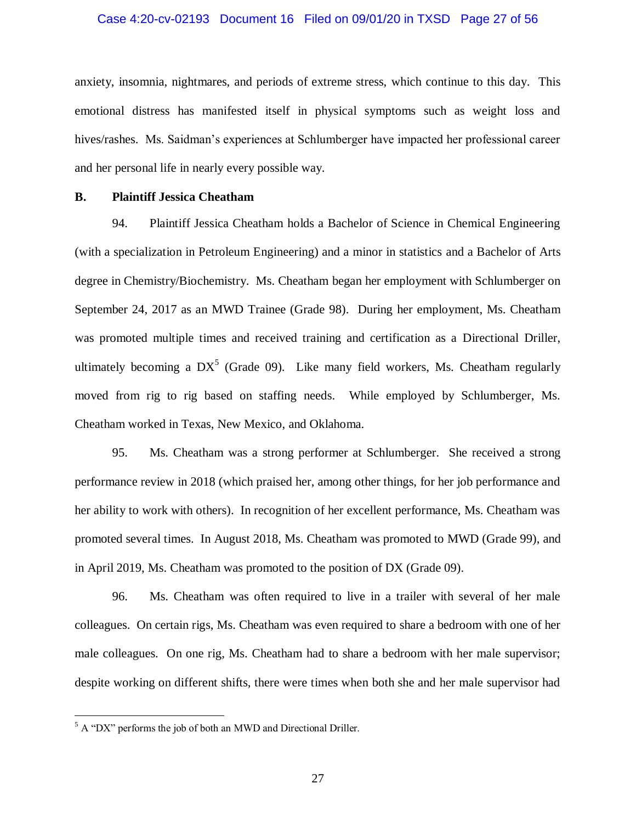#### Case 4:20-cv-02193 Document 16 Filed on 09/01/20 in TXSD Page 27 of 56

anxiety, insomnia, nightmares, and periods of extreme stress, which continue to this day. This emotional distress has manifested itself in physical symptoms such as weight loss and hives/rashes. Ms. Saidman's experiences at Schlumberger have impacted her professional career and her personal life in nearly every possible way.

# **B. Plaintiff Jessica Cheatham**

94. Plaintiff Jessica Cheatham holds a Bachelor of Science in Chemical Engineering (with a specialization in Petroleum Engineering) and a minor in statistics and a Bachelor of Arts degree in Chemistry/Biochemistry. Ms. Cheatham began her employment with Schlumberger on September 24, 2017 as an MWD Trainee (Grade 98). During her employment, Ms. Cheatham was promoted multiple times and received training and certification as a Directional Driller, ultimately becoming a  $DX^5$  (Grade 09). Like many field workers, Ms. Cheatham regularly moved from rig to rig based on staffing needs. While employed by Schlumberger, Ms. Cheatham worked in Texas, New Mexico, and Oklahoma.

95. Ms. Cheatham was a strong performer at Schlumberger. She received a strong performance review in 2018 (which praised her, among other things, for her job performance and her ability to work with others). In recognition of her excellent performance, Ms. Cheatham was promoted several times. In August 2018, Ms. Cheatham was promoted to MWD (Grade 99), and in April 2019, Ms. Cheatham was promoted to the position of DX (Grade 09).

96. Ms. Cheatham was often required to live in a trailer with several of her male colleagues. On certain rigs, Ms. Cheatham was even required to share a bedroom with one of her male colleagues. On one rig, Ms. Cheatham had to share a bedroom with her male supervisor; despite working on different shifts, there were times when both she and her male supervisor had

 $\overline{a}$ 

 $5$  A "DX" performs the job of both an MWD and Directional Driller.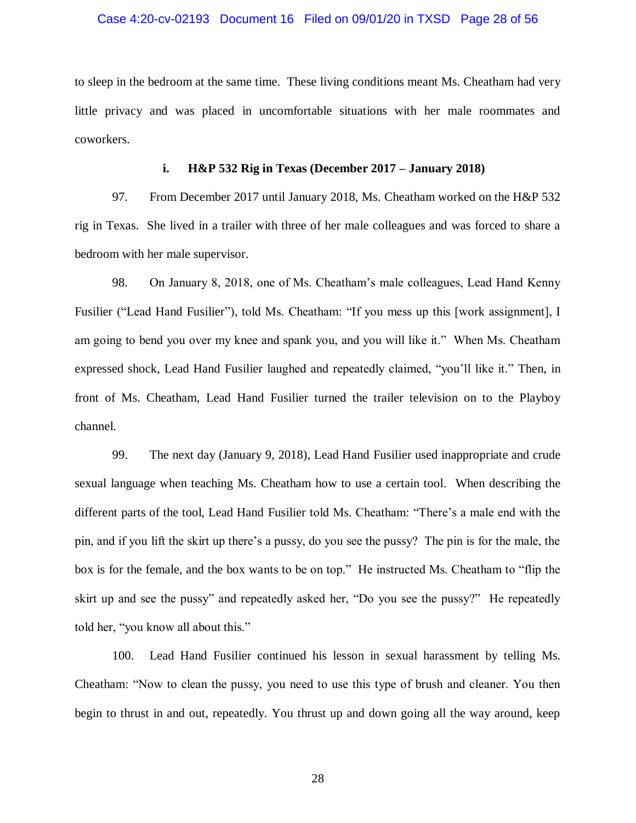#### Case 4:20-cv-02193 Document 16 Filed on 09/01/20 in TXSD Page 28 of 56

to sleep in the bedroom at the same time. These living conditions meant Ms. Cheatham had very little privacy and was placed in uncomfortable situations with her male roommates and coworkers.

#### **i. H&P 532 Rig in Texas (December 2017 – January 2018)**

97. From December 2017 until January 2018, Ms. Cheatham worked on the H&P 532 rig in Texas. She lived in a trailer with three of her male colleagues and was forced to share a bedroom with her male supervisor.

98. On January 8, 2018, one of Ms. Cheatham's male colleagues, Lead Hand Kenny Fusilier ("Lead Hand Fusilier"), told Ms. Cheatham: "If you mess up this [work assignment], I am going to bend you over my knee and spank you, and you will like it." When Ms. Cheatham expressed shock, Lead Hand Fusilier laughed and repeatedly claimed, "you'll like it." Then, in front of Ms. Cheatham, Lead Hand Fusilier turned the trailer television on to the Playboy channel.

99. The next day (January 9, 2018), Lead Hand Fusilier used inappropriate and crude sexual language when teaching Ms. Cheatham how to use a certain tool. When describing the different parts of the tool, Lead Hand Fusilier told Ms. Cheatham: "There's a male end with the pin, and if you lift the skirt up there's a pussy, do you see the pussy? The pin is for the male, the box is for the female, and the box wants to be on top." He instructed Ms. Cheatham to "flip the skirt up and see the pussy" and repeatedly asked her, "Do you see the pussy?" He repeatedly told her, "you know all about this."

100. Lead Hand Fusilier continued his lesson in sexual harassment by telling Ms. Cheatham: "Now to clean the pussy, you need to use this type of brush and cleaner. You then begin to thrust in and out, repeatedly. You thrust up and down going all the way around, keep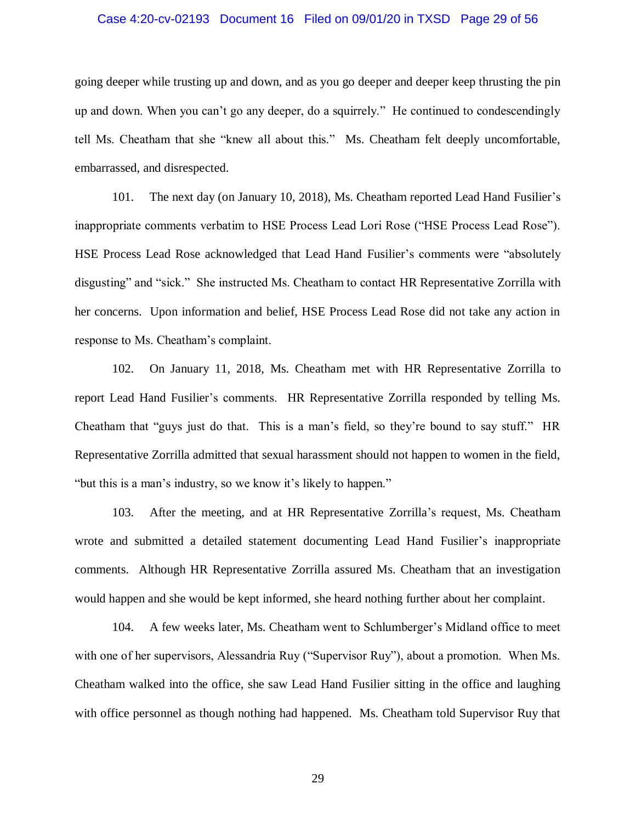#### Case 4:20-cv-02193 Document 16 Filed on 09/01/20 in TXSD Page 29 of 56

going deeper while trusting up and down, and as you go deeper and deeper keep thrusting the pin up and down. When you can't go any deeper, do a squirrely." He continued to condescendingly tell Ms. Cheatham that she "knew all about this." Ms. Cheatham felt deeply uncomfortable, embarrassed, and disrespected.

101. The next day (on January 10, 2018), Ms. Cheatham reported Lead Hand Fusilier's inappropriate comments verbatim to HSE Process Lead Lori Rose ("HSE Process Lead Rose"). HSE Process Lead Rose acknowledged that Lead Hand Fusilier's comments were "absolutely disgusting" and "sick." She instructed Ms. Cheatham to contact HR Representative Zorrilla with her concerns. Upon information and belief, HSE Process Lead Rose did not take any action in response to Ms. Cheatham's complaint.

102. On January 11, 2018, Ms. Cheatham met with HR Representative Zorrilla to report Lead Hand Fusilier's comments. HR Representative Zorrilla responded by telling Ms. Cheatham that "guys just do that. This is a man's field, so they're bound to say stuff." HR Representative Zorrilla admitted that sexual harassment should not happen to women in the field, "but this is a man's industry, so we know it's likely to happen."

103. After the meeting, and at HR Representative Zorrilla's request, Ms. Cheatham wrote and submitted a detailed statement documenting Lead Hand Fusilier's inappropriate comments. Although HR Representative Zorrilla assured Ms. Cheatham that an investigation would happen and she would be kept informed, she heard nothing further about her complaint.

104. A few weeks later, Ms. Cheatham went to Schlumberger's Midland office to meet with one of her supervisors, Alessandria Ruy ("Supervisor Ruy"), about a promotion. When Ms. Cheatham walked into the office, she saw Lead Hand Fusilier sitting in the office and laughing with office personnel as though nothing had happened. Ms. Cheatham told Supervisor Ruy that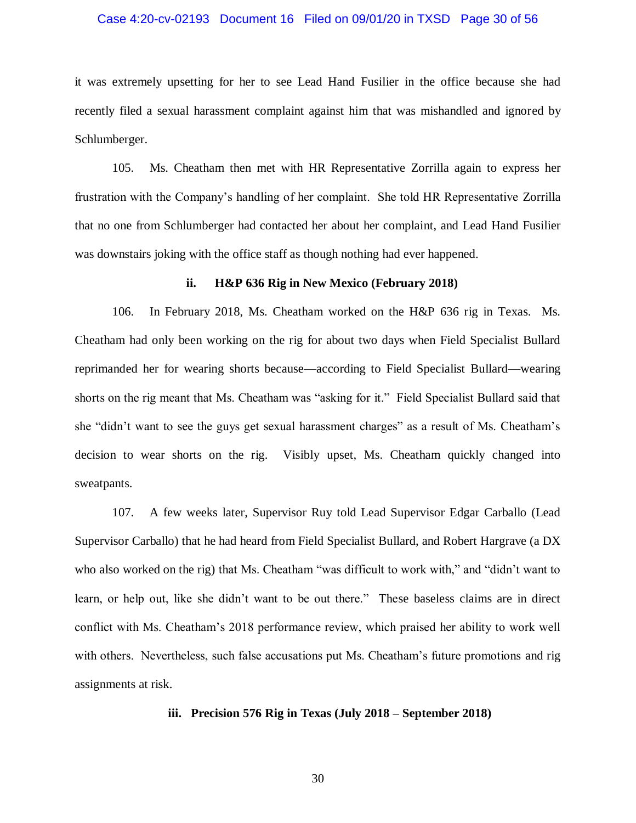#### Case 4:20-cv-02193 Document 16 Filed on 09/01/20 in TXSD Page 30 of 56

it was extremely upsetting for her to see Lead Hand Fusilier in the office because she had recently filed a sexual harassment complaint against him that was mishandled and ignored by Schlumberger.

105. Ms. Cheatham then met with HR Representative Zorrilla again to express her frustration with the Company's handling of her complaint. She told HR Representative Zorrilla that no one from Schlumberger had contacted her about her complaint, and Lead Hand Fusilier was downstairs joking with the office staff as though nothing had ever happened.

#### **ii. H&P 636 Rig in New Mexico (February 2018)**

106. In February 2018, Ms. Cheatham worked on the H&P 636 rig in Texas. Ms. Cheatham had only been working on the rig for about two days when Field Specialist Bullard reprimanded her for wearing shorts because—according to Field Specialist Bullard—wearing shorts on the rig meant that Ms. Cheatham was "asking for it." Field Specialist Bullard said that she "didn't want to see the guys get sexual harassment charges" as a result of Ms. Cheatham's decision to wear shorts on the rig. Visibly upset, Ms. Cheatham quickly changed into sweatpants.

107. A few weeks later, Supervisor Ruy told Lead Supervisor Edgar Carballo (Lead Supervisor Carballo) that he had heard from Field Specialist Bullard, and Robert Hargrave (a DX who also worked on the rig) that Ms. Cheatham "was difficult to work with," and "didn't want to learn, or help out, like she didn't want to be out there." These baseless claims are in direct conflict with Ms. Cheatham's 2018 performance review, which praised her ability to work well with others. Nevertheless, such false accusations put Ms. Cheatham's future promotions and rig assignments at risk.

## **iii. Precision 576 Rig in Texas (July 2018 – September 2018)**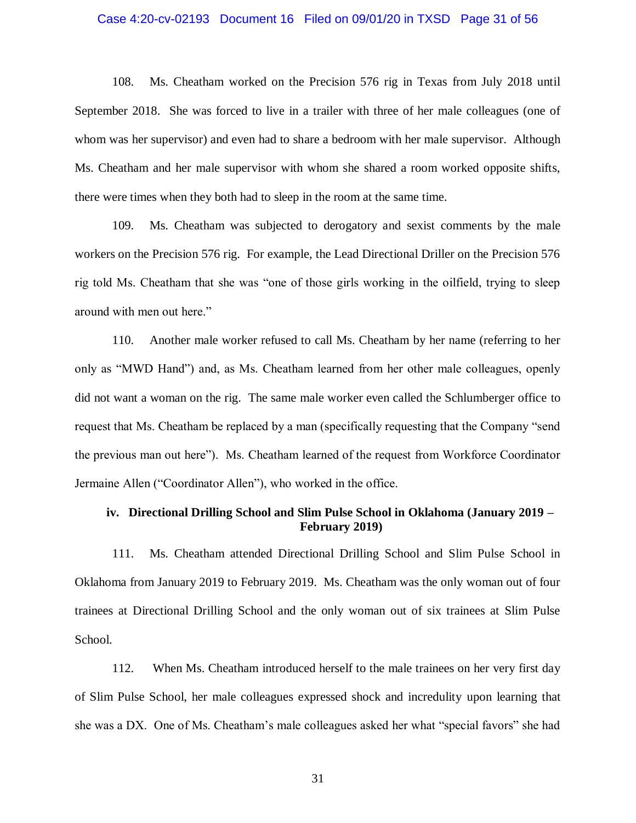#### Case 4:20-cv-02193 Document 16 Filed on 09/01/20 in TXSD Page 31 of 56

108. Ms. Cheatham worked on the Precision 576 rig in Texas from July 2018 until September 2018. She was forced to live in a trailer with three of her male colleagues (one of whom was her supervisor) and even had to share a bedroom with her male supervisor. Although Ms. Cheatham and her male supervisor with whom she shared a room worked opposite shifts, there were times when they both had to sleep in the room at the same time.

109. Ms. Cheatham was subjected to derogatory and sexist comments by the male workers on the Precision 576 rig. For example, the Lead Directional Driller on the Precision 576 rig told Ms. Cheatham that she was "one of those girls working in the oilfield, trying to sleep around with men out here."

110. Another male worker refused to call Ms. Cheatham by her name (referring to her only as "MWD Hand") and, as Ms. Cheatham learned from her other male colleagues, openly did not want a woman on the rig. The same male worker even called the Schlumberger office to request that Ms. Cheatham be replaced by a man (specifically requesting that the Company "send the previous man out here"). Ms. Cheatham learned of the request from Workforce Coordinator Jermaine Allen ("Coordinator Allen"), who worked in the office.

# **iv. Directional Drilling School and Slim Pulse School in Oklahoma (January 2019 – February 2019)**

111. Ms. Cheatham attended Directional Drilling School and Slim Pulse School in Oklahoma from January 2019 to February 2019. Ms. Cheatham was the only woman out of four trainees at Directional Drilling School and the only woman out of six trainees at Slim Pulse School.

112. When Ms. Cheatham introduced herself to the male trainees on her very first day of Slim Pulse School, her male colleagues expressed shock and incredulity upon learning that she was a DX. One of Ms. Cheatham's male colleagues asked her what "special favors" she had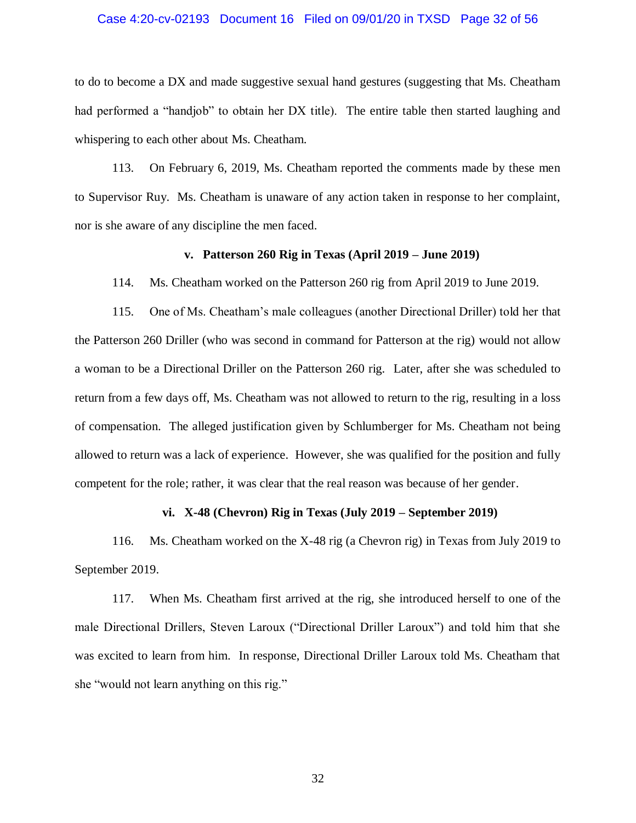#### Case 4:20-cv-02193 Document 16 Filed on 09/01/20 in TXSD Page 32 of 56

to do to become a DX and made suggestive sexual hand gestures (suggesting that Ms. Cheatham had performed a "handjob" to obtain her DX title). The entire table then started laughing and whispering to each other about Ms. Cheatham.

113. On February 6, 2019, Ms. Cheatham reported the comments made by these men to Supervisor Ruy. Ms. Cheatham is unaware of any action taken in response to her complaint, nor is she aware of any discipline the men faced.

#### **v. Patterson 260 Rig in Texas (April 2019 – June 2019)**

114. Ms. Cheatham worked on the Patterson 260 rig from April 2019 to June 2019.

115. One of Ms. Cheatham's male colleagues (another Directional Driller) told her that the Patterson 260 Driller (who was second in command for Patterson at the rig) would not allow a woman to be a Directional Driller on the Patterson 260 rig. Later, after she was scheduled to return from a few days off, Ms. Cheatham was not allowed to return to the rig, resulting in a loss of compensation. The alleged justification given by Schlumberger for Ms. Cheatham not being allowed to return was a lack of experience. However, she was qualified for the position and fully competent for the role; rather, it was clear that the real reason was because of her gender.

#### **vi. X-48 (Chevron) Rig in Texas (July 2019 – September 2019)**

116. Ms. Cheatham worked on the X-48 rig (a Chevron rig) in Texas from July 2019 to September 2019.

117. When Ms. Cheatham first arrived at the rig, she introduced herself to one of the male Directional Drillers, Steven Laroux ("Directional Driller Laroux") and told him that she was excited to learn from him. In response, Directional Driller Laroux told Ms. Cheatham that she "would not learn anything on this rig."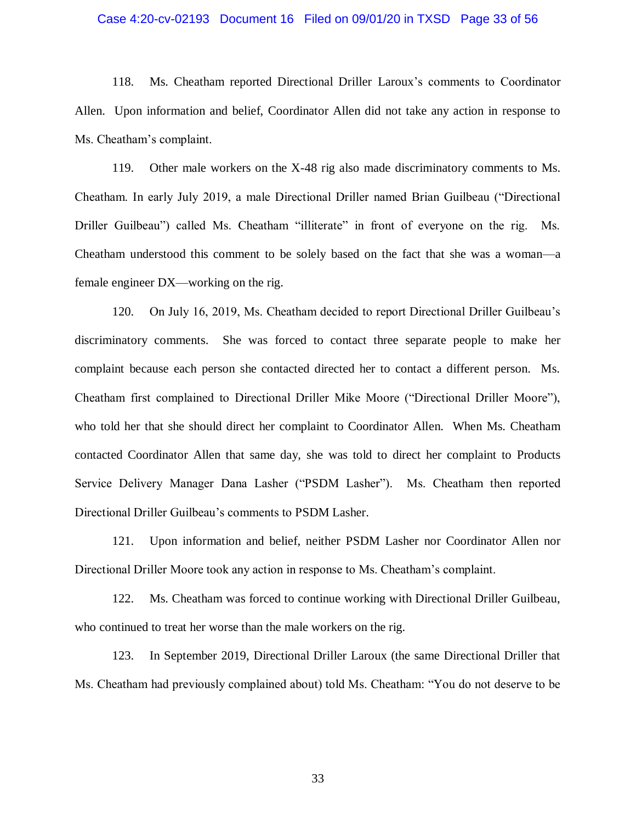#### Case 4:20-cv-02193 Document 16 Filed on 09/01/20 in TXSD Page 33 of 56

118. Ms. Cheatham reported Directional Driller Laroux's comments to Coordinator Allen. Upon information and belief, Coordinator Allen did not take any action in response to Ms. Cheatham's complaint.

119. Other male workers on the X-48 rig also made discriminatory comments to Ms. Cheatham. In early July 2019, a male Directional Driller named Brian Guilbeau ("Directional Driller Guilbeau") called Ms. Cheatham "illiterate" in front of everyone on the rig. Ms. Cheatham understood this comment to be solely based on the fact that she was a woman—a female engineer DX—working on the rig.

120. On July 16, 2019, Ms. Cheatham decided to report Directional Driller Guilbeau's discriminatory comments. She was forced to contact three separate people to make her complaint because each person she contacted directed her to contact a different person. Ms. Cheatham first complained to Directional Driller Mike Moore ("Directional Driller Moore"), who told her that she should direct her complaint to Coordinator Allen. When Ms. Cheatham contacted Coordinator Allen that same day, she was told to direct her complaint to Products Service Delivery Manager Dana Lasher ("PSDM Lasher"). Ms. Cheatham then reported Directional Driller Guilbeau's comments to PSDM Lasher.

121. Upon information and belief, neither PSDM Lasher nor Coordinator Allen nor Directional Driller Moore took any action in response to Ms. Cheatham's complaint.

122. Ms. Cheatham was forced to continue working with Directional Driller Guilbeau, who continued to treat her worse than the male workers on the rig.

123. In September 2019, Directional Driller Laroux (the same Directional Driller that Ms. Cheatham had previously complained about) told Ms. Cheatham: "You do not deserve to be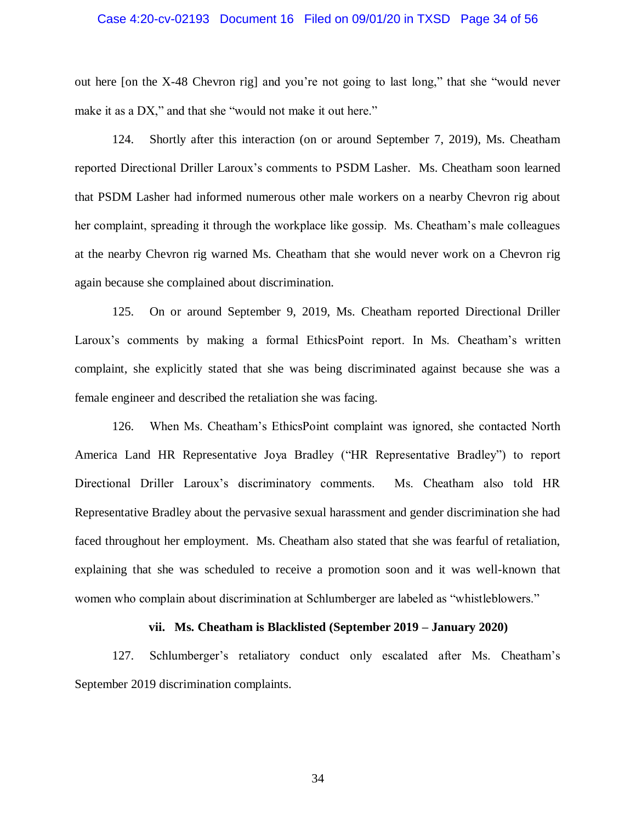#### Case 4:20-cv-02193 Document 16 Filed on 09/01/20 in TXSD Page 34 of 56

out here [on the X-48 Chevron rig] and you're not going to last long," that she "would never make it as a DX," and that she "would not make it out here."

124. Shortly after this interaction (on or around September 7, 2019), Ms. Cheatham reported Directional Driller Laroux's comments to PSDM Lasher. Ms. Cheatham soon learned that PSDM Lasher had informed numerous other male workers on a nearby Chevron rig about her complaint, spreading it through the workplace like gossip. Ms. Cheatham's male colleagues at the nearby Chevron rig warned Ms. Cheatham that she would never work on a Chevron rig again because she complained about discrimination.

125. On or around September 9, 2019, Ms. Cheatham reported Directional Driller Laroux's comments by making a formal EthicsPoint report. In Ms. Cheatham's written complaint, she explicitly stated that she was being discriminated against because she was a female engineer and described the retaliation she was facing.

126. When Ms. Cheatham's EthicsPoint complaint was ignored, she contacted North America Land HR Representative Joya Bradley ("HR Representative Bradley") to report Directional Driller Laroux's discriminatory comments. Ms. Cheatham also told HR Representative Bradley about the pervasive sexual harassment and gender discrimination she had faced throughout her employment. Ms. Cheatham also stated that she was fearful of retaliation, explaining that she was scheduled to receive a promotion soon and it was well-known that women who complain about discrimination at Schlumberger are labeled as "whistleblowers."

#### **vii. Ms. Cheatham is Blacklisted (September 2019 – January 2020)**

127. Schlumberger's retaliatory conduct only escalated after Ms. Cheatham's September 2019 discrimination complaints.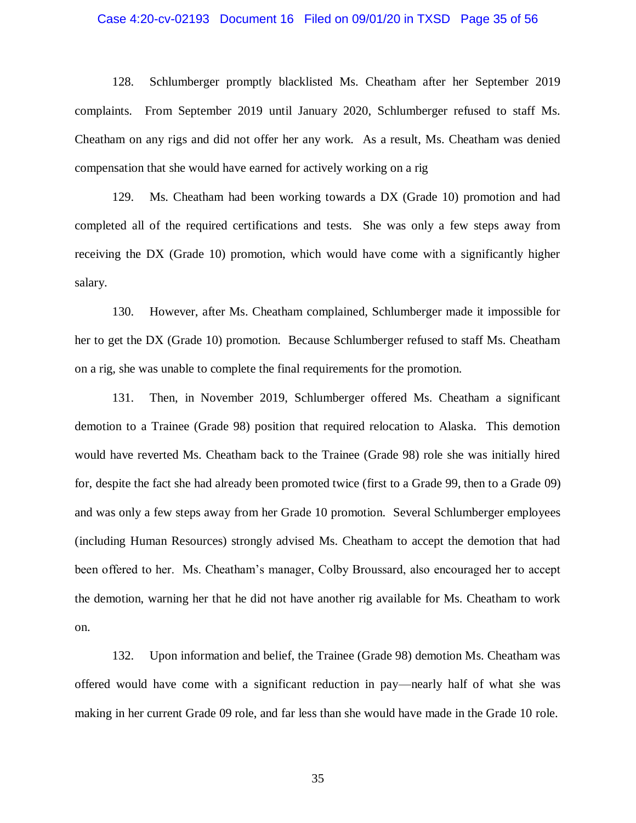#### Case 4:20-cv-02193 Document 16 Filed on 09/01/20 in TXSD Page 35 of 56

128. Schlumberger promptly blacklisted Ms. Cheatham after her September 2019 complaints. From September 2019 until January 2020, Schlumberger refused to staff Ms. Cheatham on any rigs and did not offer her any work. As a result, Ms. Cheatham was denied compensation that she would have earned for actively working on a rig

129. Ms. Cheatham had been working towards a DX (Grade 10) promotion and had completed all of the required certifications and tests. She was only a few steps away from receiving the DX (Grade 10) promotion, which would have come with a significantly higher salary.

130. However, after Ms. Cheatham complained, Schlumberger made it impossible for her to get the DX (Grade 10) promotion. Because Schlumberger refused to staff Ms. Cheatham on a rig, she was unable to complete the final requirements for the promotion.

131. Then, in November 2019, Schlumberger offered Ms. Cheatham a significant demotion to a Trainee (Grade 98) position that required relocation to Alaska. This demotion would have reverted Ms. Cheatham back to the Trainee (Grade 98) role she was initially hired for, despite the fact she had already been promoted twice (first to a Grade 99, then to a Grade 09) and was only a few steps away from her Grade 10 promotion. Several Schlumberger employees (including Human Resources) strongly advised Ms. Cheatham to accept the demotion that had been offered to her. Ms. Cheatham's manager, Colby Broussard, also encouraged her to accept the demotion, warning her that he did not have another rig available for Ms. Cheatham to work on.

132. Upon information and belief, the Trainee (Grade 98) demotion Ms. Cheatham was offered would have come with a significant reduction in pay—nearly half of what she was making in her current Grade 09 role, and far less than she would have made in the Grade 10 role.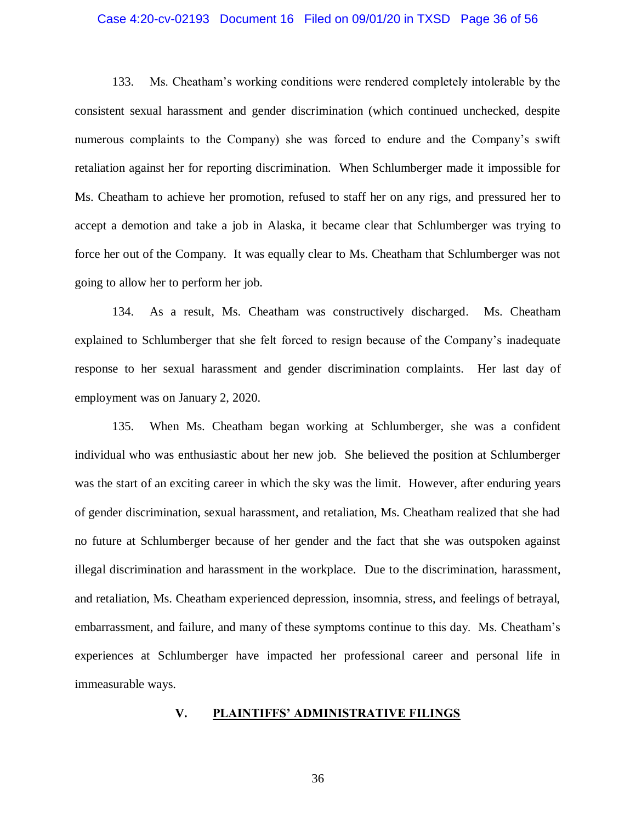#### Case 4:20-cv-02193 Document 16 Filed on 09/01/20 in TXSD Page 36 of 56

133. Ms. Cheatham's working conditions were rendered completely intolerable by the consistent sexual harassment and gender discrimination (which continued unchecked, despite numerous complaints to the Company) she was forced to endure and the Company's swift retaliation against her for reporting discrimination. When Schlumberger made it impossible for Ms. Cheatham to achieve her promotion, refused to staff her on any rigs, and pressured her to accept a demotion and take a job in Alaska, it became clear that Schlumberger was trying to force her out of the Company. It was equally clear to Ms. Cheatham that Schlumberger was not going to allow her to perform her job.

134. As a result, Ms. Cheatham was constructively discharged. Ms. Cheatham explained to Schlumberger that she felt forced to resign because of the Company's inadequate response to her sexual harassment and gender discrimination complaints. Her last day of employment was on January 2, 2020.

135. When Ms. Cheatham began working at Schlumberger, she was a confident individual who was enthusiastic about her new job. She believed the position at Schlumberger was the start of an exciting career in which the sky was the limit. However, after enduring years of gender discrimination, sexual harassment, and retaliation, Ms. Cheatham realized that she had no future at Schlumberger because of her gender and the fact that she was outspoken against illegal discrimination and harassment in the workplace. Due to the discrimination, harassment, and retaliation, Ms. Cheatham experienced depression, insomnia, stress, and feelings of betrayal, embarrassment, and failure, and many of these symptoms continue to this day. Ms. Cheatham's experiences at Schlumberger have impacted her professional career and personal life in immeasurable ways.

#### **V. PLAINTIFFS' ADMINISTRATIVE FILINGS**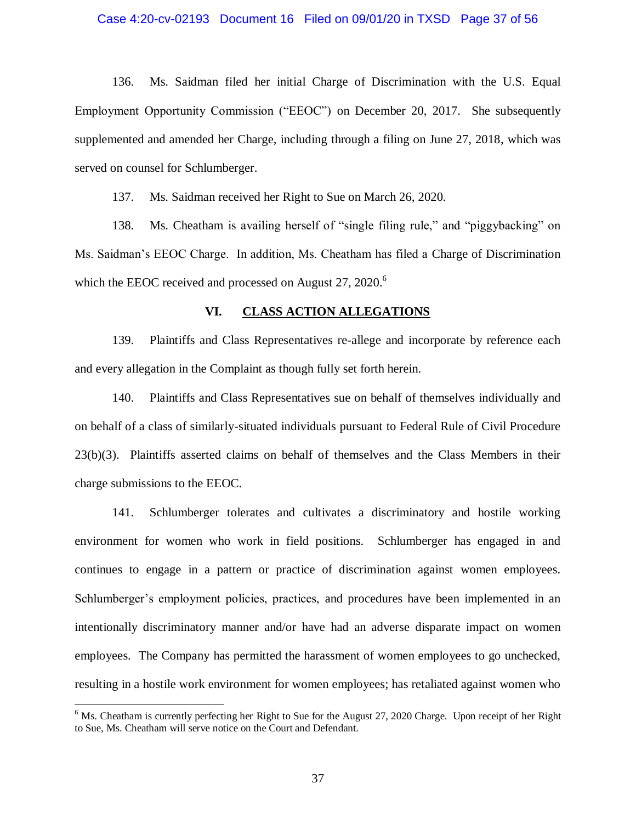#### Case 4:20-cv-02193 Document 16 Filed on 09/01/20 in TXSD Page 37 of 56

136. Ms. Saidman filed her initial Charge of Discrimination with the U.S. Equal Employment Opportunity Commission ("EEOC") on December 20, 2017. She subsequently supplemented and amended her Charge, including through a filing on June 27, 2018, which was served on counsel for Schlumberger.

137. Ms. Saidman received her Right to Sue on March 26, 2020.

138. Ms. Cheatham is availing herself of "single filing rule," and "piggybacking" on Ms. Saidman's EEOC Charge. In addition, Ms. Cheatham has filed a Charge of Discrimination which the EEOC received and processed on August 27, 2020.<sup>6</sup>

# **VI. CLASS ACTION ALLEGATIONS**

139. Plaintiffs and Class Representatives re-allege and incorporate by reference each and every allegation in the Complaint as though fully set forth herein.

140. Plaintiffs and Class Representatives sue on behalf of themselves individually and on behalf of a class of similarly-situated individuals pursuant to Federal Rule of Civil Procedure 23(b)(3). Plaintiffs asserted claims on behalf of themselves and the Class Members in their charge submissions to the EEOC.

141. Schlumberger tolerates and cultivates a discriminatory and hostile working environment for women who work in field positions. Schlumberger has engaged in and continues to engage in a pattern or practice of discrimination against women employees. Schlumberger's employment policies, practices, and procedures have been implemented in an intentionally discriminatory manner and/or have had an adverse disparate impact on women employees. The Company has permitted the harassment of women employees to go unchecked, resulting in a hostile work environment for women employees; has retaliated against women who

 $\overline{a}$ 

<sup>&</sup>lt;sup>6</sup> Ms. Cheatham is currently perfecting her Right to Sue for the August 27, 2020 Charge. Upon receipt of her Right to Sue, Ms. Cheatham will serve notice on the Court and Defendant.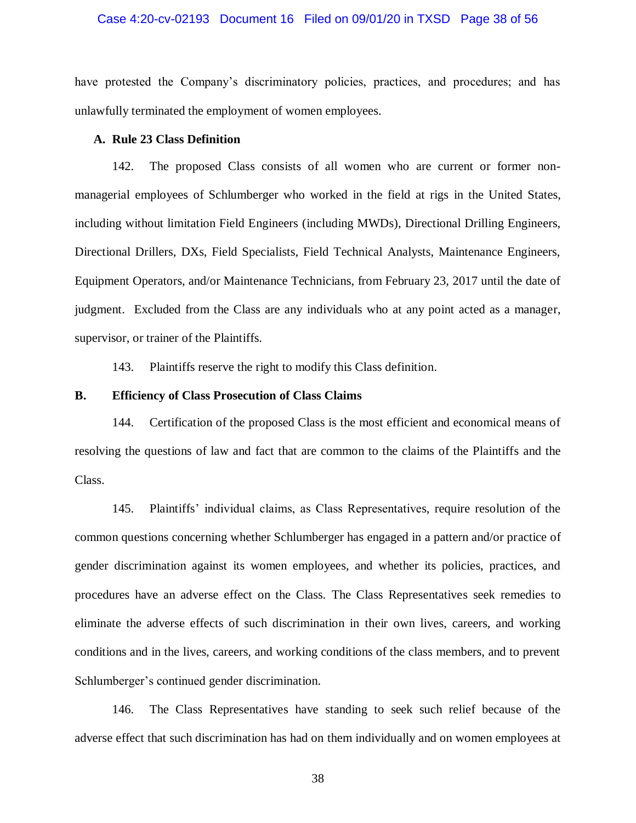#### Case 4:20-cv-02193 Document 16 Filed on 09/01/20 in TXSD Page 38 of 56

have protested the Company's discriminatory policies, practices, and procedures; and has unlawfully terminated the employment of women employees.

# **A. Rule 23 Class Definition**

142. The proposed Class consists of all women who are current or former nonmanagerial employees of Schlumberger who worked in the field at rigs in the United States, including without limitation Field Engineers (including MWDs), Directional Drilling Engineers, Directional Drillers, DXs, Field Specialists, Field Technical Analysts, Maintenance Engineers, Equipment Operators, and/or Maintenance Technicians, from February 23, 2017 until the date of judgment. Excluded from the Class are any individuals who at any point acted as a manager, supervisor, or trainer of the Plaintiffs.

143. Plaintiffs reserve the right to modify this Class definition.

#### **B. Efficiency of Class Prosecution of Class Claims**

144. Certification of the proposed Class is the most efficient and economical means of resolving the questions of law and fact that are common to the claims of the Plaintiffs and the Class.

145. Plaintiffs' individual claims, as Class Representatives, require resolution of the common questions concerning whether Schlumberger has engaged in a pattern and/or practice of gender discrimination against its women employees, and whether its policies, practices, and procedures have an adverse effect on the Class. The Class Representatives seek remedies to eliminate the adverse effects of such discrimination in their own lives, careers, and working conditions and in the lives, careers, and working conditions of the class members, and to prevent Schlumberger's continued gender discrimination.

146. The Class Representatives have standing to seek such relief because of the adverse effect that such discrimination has had on them individually and on women employees at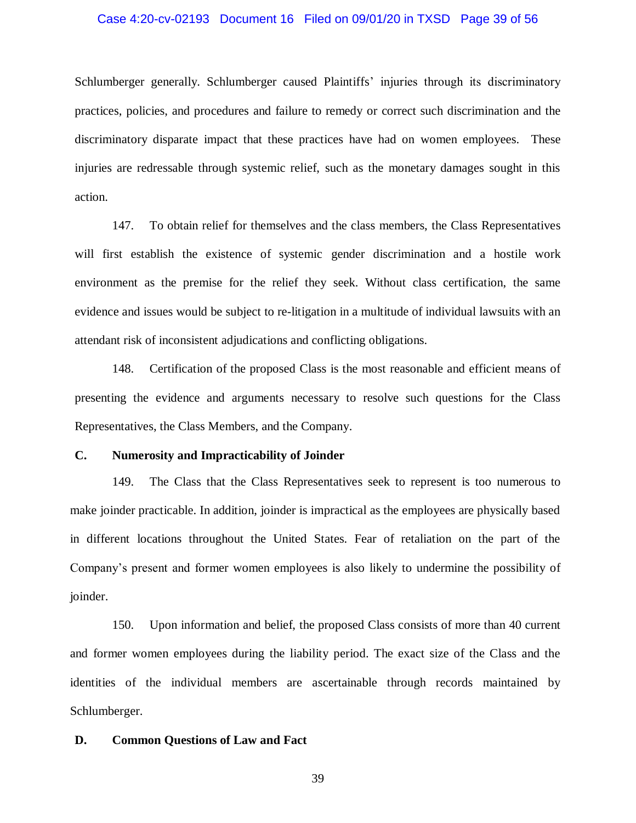#### Case 4:20-cv-02193 Document 16 Filed on 09/01/20 in TXSD Page 39 of 56

Schlumberger generally. Schlumberger caused Plaintiffs' injuries through its discriminatory practices, policies, and procedures and failure to remedy or correct such discrimination and the discriminatory disparate impact that these practices have had on women employees. These injuries are redressable through systemic relief, such as the monetary damages sought in this action.

147. To obtain relief for themselves and the class members, the Class Representatives will first establish the existence of systemic gender discrimination and a hostile work environment as the premise for the relief they seek. Without class certification, the same evidence and issues would be subject to re-litigation in a multitude of individual lawsuits with an attendant risk of inconsistent adjudications and conflicting obligations.

148. Certification of the proposed Class is the most reasonable and efficient means of presenting the evidence and arguments necessary to resolve such questions for the Class Representatives, the Class Members, and the Company.

# **C. Numerosity and Impracticability of Joinder**

149. The Class that the Class Representatives seek to represent is too numerous to make joinder practicable. In addition, joinder is impractical as the employees are physically based in different locations throughout the United States. Fear of retaliation on the part of the Company's present and former women employees is also likely to undermine the possibility of joinder.

150. Upon information and belief, the proposed Class consists of more than 40 current and former women employees during the liability period. The exact size of the Class and the identities of the individual members are ascertainable through records maintained by Schlumberger.

#### **D. Common Questions of Law and Fact**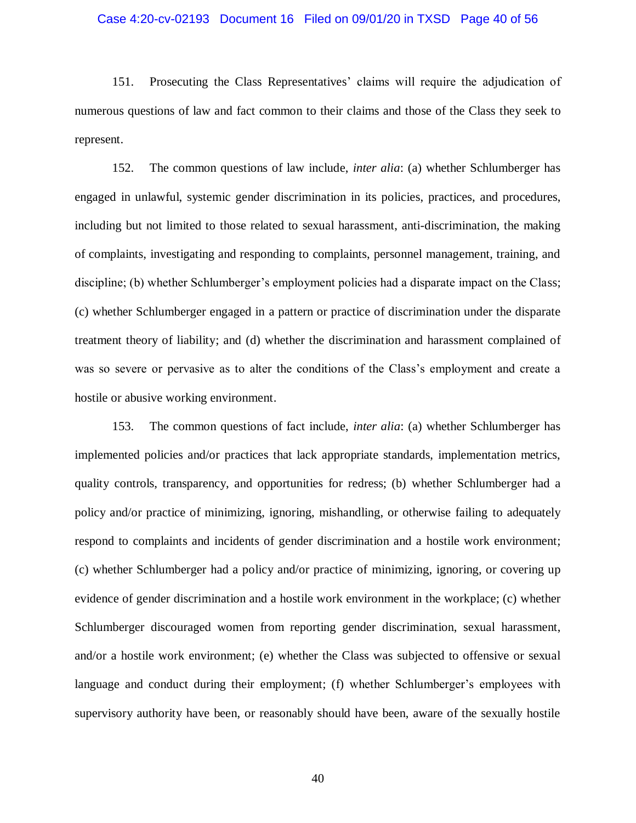#### Case 4:20-cv-02193 Document 16 Filed on 09/01/20 in TXSD Page 40 of 56

151. Prosecuting the Class Representatives' claims will require the adjudication of numerous questions of law and fact common to their claims and those of the Class they seek to represent.

152. The common questions of law include, *inter alia*: (a) whether Schlumberger has engaged in unlawful, systemic gender discrimination in its policies, practices, and procedures, including but not limited to those related to sexual harassment, anti-discrimination, the making of complaints, investigating and responding to complaints, personnel management, training, and discipline; (b) whether Schlumberger's employment policies had a disparate impact on the Class; (c) whether Schlumberger engaged in a pattern or practice of discrimination under the disparate treatment theory of liability; and (d) whether the discrimination and harassment complained of was so severe or pervasive as to alter the conditions of the Class's employment and create a hostile or abusive working environment.

153. The common questions of fact include, *inter alia*: (a) whether Schlumberger has implemented policies and/or practices that lack appropriate standards, implementation metrics, quality controls, transparency, and opportunities for redress; (b) whether Schlumberger had a policy and/or practice of minimizing, ignoring, mishandling, or otherwise failing to adequately respond to complaints and incidents of gender discrimination and a hostile work environment; (c) whether Schlumberger had a policy and/or practice of minimizing, ignoring, or covering up evidence of gender discrimination and a hostile work environment in the workplace; (c) whether Schlumberger discouraged women from reporting gender discrimination, sexual harassment, and/or a hostile work environment; (e) whether the Class was subjected to offensive or sexual language and conduct during their employment; (f) whether Schlumberger's employees with supervisory authority have been, or reasonably should have been, aware of the sexually hostile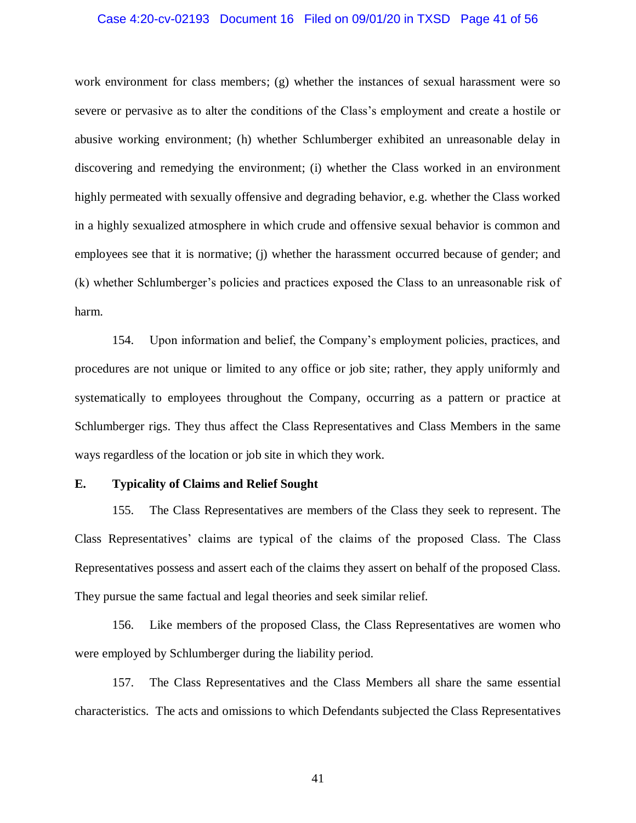#### Case 4:20-cv-02193 Document 16 Filed on 09/01/20 in TXSD Page 41 of 56

work environment for class members; (g) whether the instances of sexual harassment were so severe or pervasive as to alter the conditions of the Class's employment and create a hostile or abusive working environment; (h) whether Schlumberger exhibited an unreasonable delay in discovering and remedying the environment; (i) whether the Class worked in an environment highly permeated with sexually offensive and degrading behavior, e.g. whether the Class worked in a highly sexualized atmosphere in which crude and offensive sexual behavior is common and employees see that it is normative; (j) whether the harassment occurred because of gender; and (k) whether Schlumberger's policies and practices exposed the Class to an unreasonable risk of harm.

154. Upon information and belief, the Company's employment policies, practices, and procedures are not unique or limited to any office or job site; rather, they apply uniformly and systematically to employees throughout the Company, occurring as a pattern or practice at Schlumberger rigs. They thus affect the Class Representatives and Class Members in the same ways regardless of the location or job site in which they work.

#### **E. Typicality of Claims and Relief Sought**

155. The Class Representatives are members of the Class they seek to represent. The Class Representatives' claims are typical of the claims of the proposed Class. The Class Representatives possess and assert each of the claims they assert on behalf of the proposed Class. They pursue the same factual and legal theories and seek similar relief.

156. Like members of the proposed Class, the Class Representatives are women who were employed by Schlumberger during the liability period.

157. The Class Representatives and the Class Members all share the same essential characteristics. The acts and omissions to which Defendants subjected the Class Representatives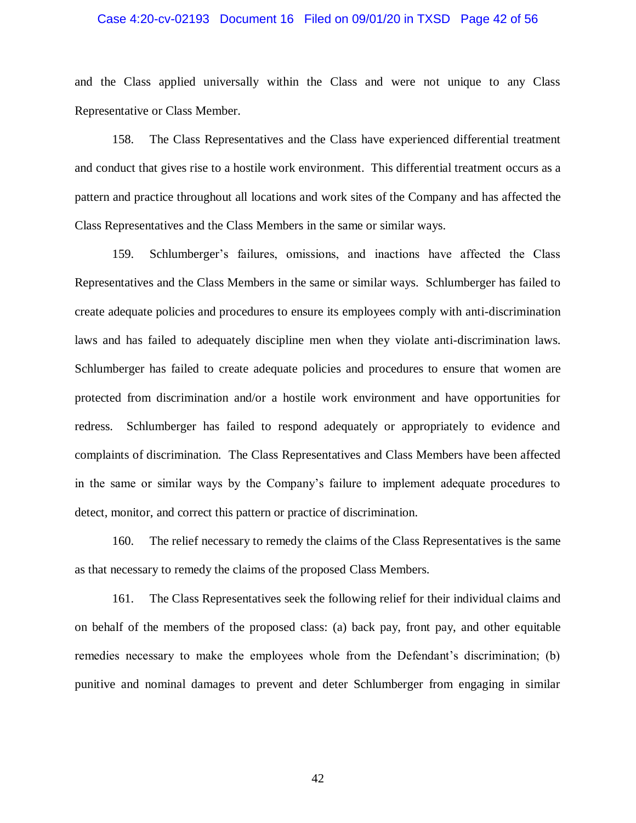#### Case 4:20-cv-02193 Document 16 Filed on 09/01/20 in TXSD Page 42 of 56

and the Class applied universally within the Class and were not unique to any Class Representative or Class Member.

158. The Class Representatives and the Class have experienced differential treatment and conduct that gives rise to a hostile work environment. This differential treatment occurs as a pattern and practice throughout all locations and work sites of the Company and has affected the Class Representatives and the Class Members in the same or similar ways.

159. Schlumberger's failures, omissions, and inactions have affected the Class Representatives and the Class Members in the same or similar ways. Schlumberger has failed to create adequate policies and procedures to ensure its employees comply with anti-discrimination laws and has failed to adequately discipline men when they violate anti-discrimination laws. Schlumberger has failed to create adequate policies and procedures to ensure that women are protected from discrimination and/or a hostile work environment and have opportunities for redress. Schlumberger has failed to respond adequately or appropriately to evidence and complaints of discrimination. The Class Representatives and Class Members have been affected in the same or similar ways by the Company's failure to implement adequate procedures to detect, monitor, and correct this pattern or practice of discrimination.

160. The relief necessary to remedy the claims of the Class Representatives is the same as that necessary to remedy the claims of the proposed Class Members.

161. The Class Representatives seek the following relief for their individual claims and on behalf of the members of the proposed class: (a) back pay, front pay, and other equitable remedies necessary to make the employees whole from the Defendant's discrimination; (b) punitive and nominal damages to prevent and deter Schlumberger from engaging in similar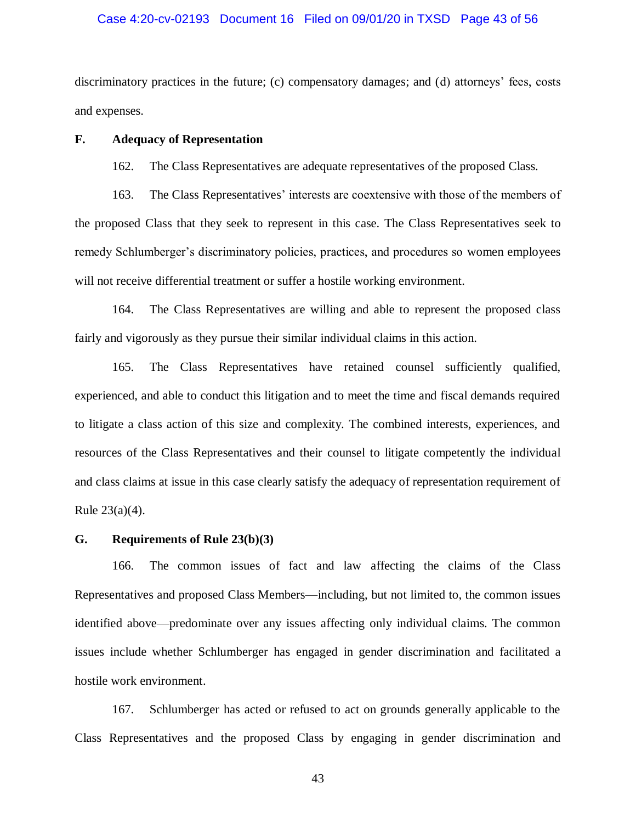#### Case 4:20-cv-02193 Document 16 Filed on 09/01/20 in TXSD Page 43 of 56

discriminatory practices in the future; (c) compensatory damages; and (d) attorneys' fees, costs and expenses.

### **F. Adequacy of Representation**

162. The Class Representatives are adequate representatives of the proposed Class.

163. The Class Representatives' interests are coextensive with those of the members of the proposed Class that they seek to represent in this case. The Class Representatives seek to remedy Schlumberger's discriminatory policies, practices, and procedures so women employees will not receive differential treatment or suffer a hostile working environment.

164. The Class Representatives are willing and able to represent the proposed class fairly and vigorously as they pursue their similar individual claims in this action.

165. The Class Representatives have retained counsel sufficiently qualified, experienced, and able to conduct this litigation and to meet the time and fiscal demands required to litigate a class action of this size and complexity. The combined interests, experiences, and resources of the Class Representatives and their counsel to litigate competently the individual and class claims at issue in this case clearly satisfy the adequacy of representation requirement of Rule 23(a)(4).

#### **G. Requirements of Rule 23(b)(3)**

166. The common issues of fact and law affecting the claims of the Class Representatives and proposed Class Members—including, but not limited to, the common issues identified above—predominate over any issues affecting only individual claims. The common issues include whether Schlumberger has engaged in gender discrimination and facilitated a hostile work environment.

167. Schlumberger has acted or refused to act on grounds generally applicable to the Class Representatives and the proposed Class by engaging in gender discrimination and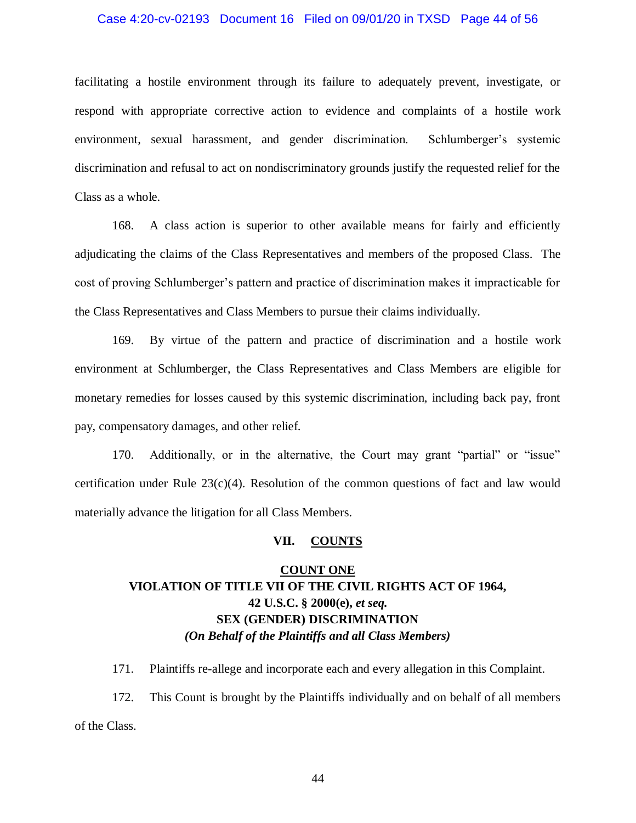#### Case 4:20-cv-02193 Document 16 Filed on 09/01/20 in TXSD Page 44 of 56

facilitating a hostile environment through its failure to adequately prevent, investigate, or respond with appropriate corrective action to evidence and complaints of a hostile work environment, sexual harassment, and gender discrimination. Schlumberger's systemic discrimination and refusal to act on nondiscriminatory grounds justify the requested relief for the Class as a whole.

168. A class action is superior to other available means for fairly and efficiently adjudicating the claims of the Class Representatives and members of the proposed Class. The cost of proving Schlumberger's pattern and practice of discrimination makes it impracticable for the Class Representatives and Class Members to pursue their claims individually.

169. By virtue of the pattern and practice of discrimination and a hostile work environment at Schlumberger, the Class Representatives and Class Members are eligible for monetary remedies for losses caused by this systemic discrimination, including back pay, front pay, compensatory damages, and other relief.

170. Additionally, or in the alternative, the Court may grant "partial" or "issue" certification under Rule  $23(c)(4)$ . Resolution of the common questions of fact and law would materially advance the litigation for all Class Members.

#### **VII. COUNTS**

# **COUNT ONE VIOLATION OF TITLE VII OF THE CIVIL RIGHTS ACT OF 1964, 42 U.S.C. § 2000(e),** *et seq.* **SEX (GENDER) DISCRIMINATION** *(On Behalf of the Plaintiffs and all Class Members)*

171. Plaintiffs re-allege and incorporate each and every allegation in this Complaint. 172. This Count is brought by the Plaintiffs individually and on behalf of all members of the Class.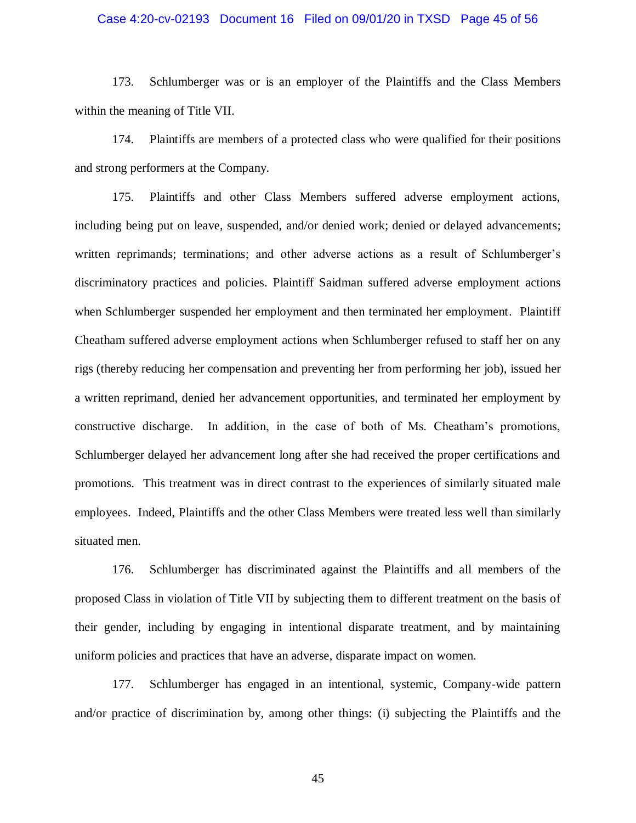#### Case 4:20-cv-02193 Document 16 Filed on 09/01/20 in TXSD Page 45 of 56

173. Schlumberger was or is an employer of the Plaintiffs and the Class Members within the meaning of Title VII.

174. Plaintiffs are members of a protected class who were qualified for their positions and strong performers at the Company.

175. Plaintiffs and other Class Members suffered adverse employment actions, including being put on leave, suspended, and/or denied work; denied or delayed advancements; written reprimands; terminations; and other adverse actions as a result of Schlumberger's discriminatory practices and policies. Plaintiff Saidman suffered adverse employment actions when Schlumberger suspended her employment and then terminated her employment. Plaintiff Cheatham suffered adverse employment actions when Schlumberger refused to staff her on any rigs (thereby reducing her compensation and preventing her from performing her job), issued her a written reprimand, denied her advancement opportunities, and terminated her employment by constructive discharge. In addition, in the case of both of Ms. Cheatham's promotions, Schlumberger delayed her advancement long after she had received the proper certifications and promotions. This treatment was in direct contrast to the experiences of similarly situated male employees. Indeed, Plaintiffs and the other Class Members were treated less well than similarly situated men.

176. Schlumberger has discriminated against the Plaintiffs and all members of the proposed Class in violation of Title VII by subjecting them to different treatment on the basis of their gender, including by engaging in intentional disparate treatment, and by maintaining uniform policies and practices that have an adverse, disparate impact on women.

177. Schlumberger has engaged in an intentional, systemic, Company-wide pattern and/or practice of discrimination by, among other things: (i) subjecting the Plaintiffs and the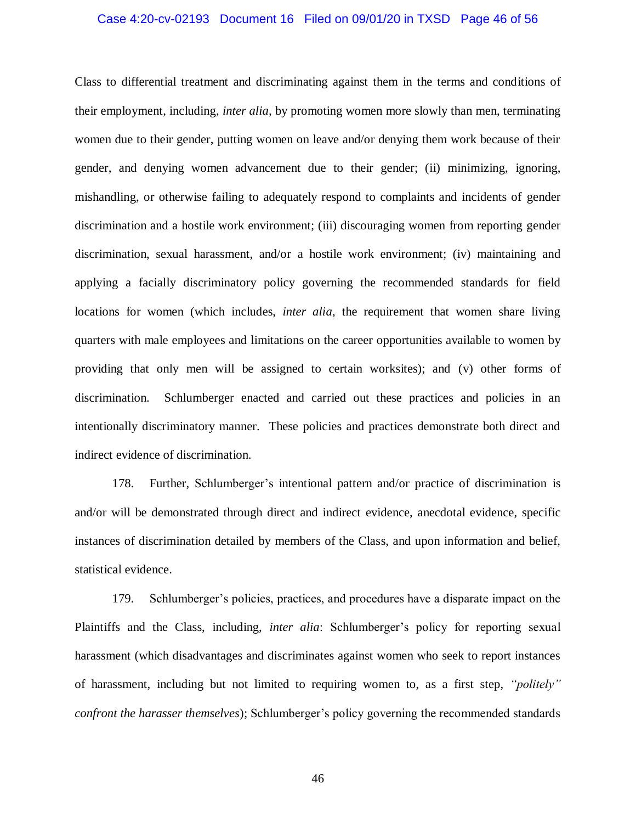#### Case 4:20-cv-02193 Document 16 Filed on 09/01/20 in TXSD Page 46 of 56

Class to differential treatment and discriminating against them in the terms and conditions of their employment, including, *inter alia,* by promoting women more slowly than men, terminating women due to their gender, putting women on leave and/or denying them work because of their gender, and denying women advancement due to their gender; (ii) minimizing, ignoring, mishandling, or otherwise failing to adequately respond to complaints and incidents of gender discrimination and a hostile work environment; (iii) discouraging women from reporting gender discrimination, sexual harassment, and/or a hostile work environment; (iv) maintaining and applying a facially discriminatory policy governing the recommended standards for field locations for women (which includes, *inter alia*, the requirement that women share living quarters with male employees and limitations on the career opportunities available to women by providing that only men will be assigned to certain worksites); and (v) other forms of discrimination. Schlumberger enacted and carried out these practices and policies in an intentionally discriminatory manner. These policies and practices demonstrate both direct and indirect evidence of discrimination.

178. Further, Schlumberger's intentional pattern and/or practice of discrimination is and/or will be demonstrated through direct and indirect evidence, anecdotal evidence, specific instances of discrimination detailed by members of the Class, and upon information and belief, statistical evidence.

179. Schlumberger's policies, practices, and procedures have a disparate impact on the Plaintiffs and the Class, including, *inter alia*: Schlumberger's policy for reporting sexual harassment (which disadvantages and discriminates against women who seek to report instances of harassment, including but not limited to requiring women to, as a first step, *"politely" confront the harasser themselves*); Schlumberger's policy governing the recommended standards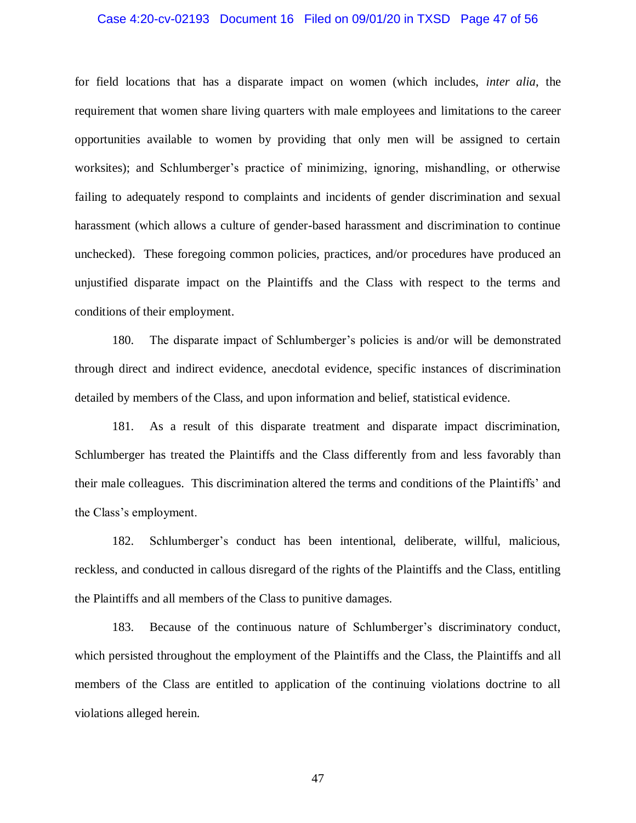#### Case 4:20-cv-02193 Document 16 Filed on 09/01/20 in TXSD Page 47 of 56

for field locations that has a disparate impact on women (which includes, *inter alia*, the requirement that women share living quarters with male employees and limitations to the career opportunities available to women by providing that only men will be assigned to certain worksites); and Schlumberger's practice of minimizing, ignoring, mishandling, or otherwise failing to adequately respond to complaints and incidents of gender discrimination and sexual harassment (which allows a culture of gender-based harassment and discrimination to continue unchecked). These foregoing common policies, practices, and/or procedures have produced an unjustified disparate impact on the Plaintiffs and the Class with respect to the terms and conditions of their employment.

180. The disparate impact of Schlumberger's policies is and/or will be demonstrated through direct and indirect evidence, anecdotal evidence, specific instances of discrimination detailed by members of the Class, and upon information and belief, statistical evidence.

181. As a result of this disparate treatment and disparate impact discrimination, Schlumberger has treated the Plaintiffs and the Class differently from and less favorably than their male colleagues. This discrimination altered the terms and conditions of the Plaintiffs' and the Class's employment.

182. Schlumberger's conduct has been intentional, deliberate, willful, malicious, reckless, and conducted in callous disregard of the rights of the Plaintiffs and the Class, entitling the Plaintiffs and all members of the Class to punitive damages.

183. Because of the continuous nature of Schlumberger's discriminatory conduct, which persisted throughout the employment of the Plaintiffs and the Class, the Plaintiffs and all members of the Class are entitled to application of the continuing violations doctrine to all violations alleged herein.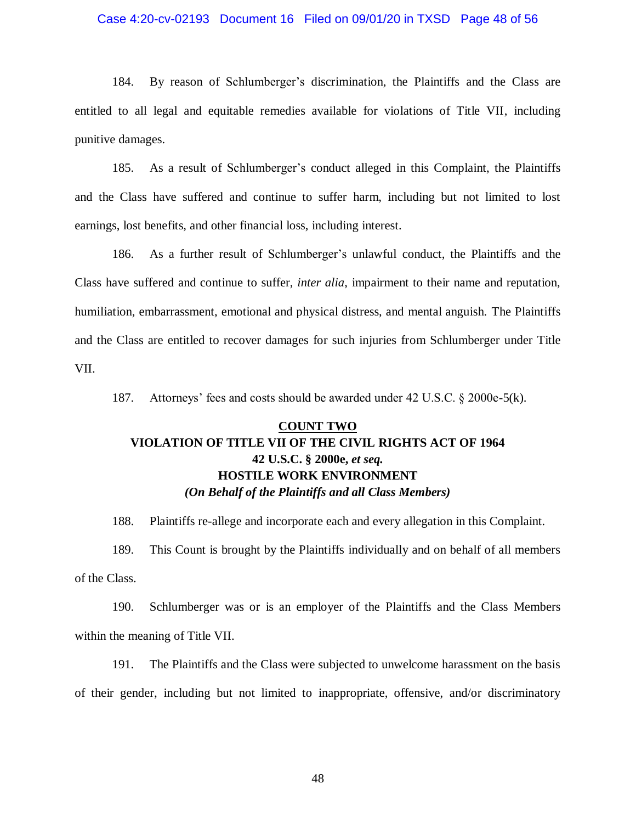#### Case 4:20-cv-02193 Document 16 Filed on 09/01/20 in TXSD Page 48 of 56

184. By reason of Schlumberger's discrimination, the Plaintiffs and the Class are entitled to all legal and equitable remedies available for violations of Title VII, including punitive damages.

185. As a result of Schlumberger's conduct alleged in this Complaint, the Plaintiffs and the Class have suffered and continue to suffer harm, including but not limited to lost earnings, lost benefits, and other financial loss, including interest.

186. As a further result of Schlumberger's unlawful conduct, the Plaintiffs and the Class have suffered and continue to suffer, *inter alia*, impairment to their name and reputation, humiliation, embarrassment, emotional and physical distress, and mental anguish. The Plaintiffs and the Class are entitled to recover damages for such injuries from Schlumberger under Title VII.

187. Attorneys' fees and costs should be awarded under 42 U.S.C. § 2000e-5(k).

# **COUNT TWO VIOLATION OF TITLE VII OF THE CIVIL RIGHTS ACT OF 1964 42 U.S.C. § 2000e,** *et seq.* **HOSTILE WORK ENVIRONMENT** *(On Behalf of the Plaintiffs and all Class Members)*

188. Plaintiffs re-allege and incorporate each and every allegation in this Complaint. 189. This Count is brought by the Plaintiffs individually and on behalf of all members

of the Class.

190. Schlumberger was or is an employer of the Plaintiffs and the Class Members within the meaning of Title VII.

191. The Plaintiffs and the Class were subjected to unwelcome harassment on the basis of their gender, including but not limited to inappropriate, offensive, and/or discriminatory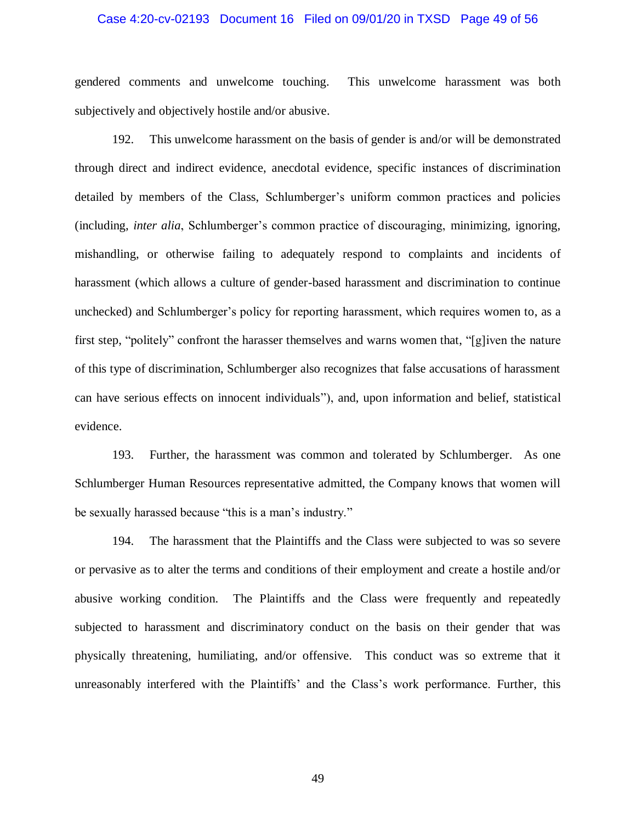#### Case 4:20-cv-02193 Document 16 Filed on 09/01/20 in TXSD Page 49 of 56

gendered comments and unwelcome touching. This unwelcome harassment was both subjectively and objectively hostile and/or abusive.

192. This unwelcome harassment on the basis of gender is and/or will be demonstrated through direct and indirect evidence, anecdotal evidence, specific instances of discrimination detailed by members of the Class, Schlumberger's uniform common practices and policies (including, *inter alia*, Schlumberger's common practice of discouraging, minimizing, ignoring, mishandling, or otherwise failing to adequately respond to complaints and incidents of harassment (which allows a culture of gender-based harassment and discrimination to continue unchecked) and Schlumberger's policy for reporting harassment, which requires women to, as a first step, "politely" confront the harasser themselves and warns women that, "[g]iven the nature of this type of discrimination, Schlumberger also recognizes that false accusations of harassment can have serious effects on innocent individuals"), and, upon information and belief, statistical evidence.

193. Further, the harassment was common and tolerated by Schlumberger. As one Schlumberger Human Resources representative admitted, the Company knows that women will be sexually harassed because "this is a man's industry."

194. The harassment that the Plaintiffs and the Class were subjected to was so severe or pervasive as to alter the terms and conditions of their employment and create a hostile and/or abusive working condition. The Plaintiffs and the Class were frequently and repeatedly subjected to harassment and discriminatory conduct on the basis on their gender that was physically threatening, humiliating, and/or offensive. This conduct was so extreme that it unreasonably interfered with the Plaintiffs' and the Class's work performance. Further, this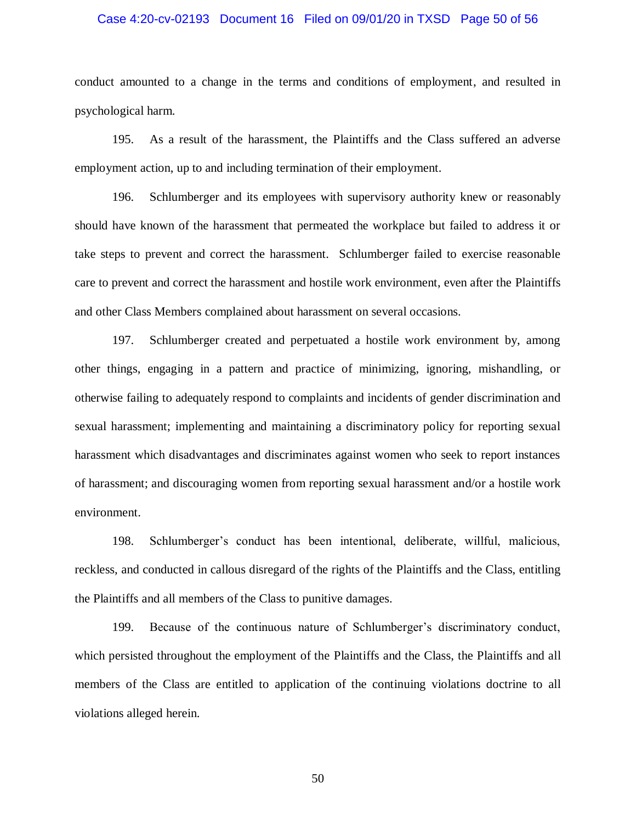#### Case 4:20-cv-02193 Document 16 Filed on 09/01/20 in TXSD Page 50 of 56

conduct amounted to a change in the terms and conditions of employment, and resulted in psychological harm.

195. As a result of the harassment, the Plaintiffs and the Class suffered an adverse employment action, up to and including termination of their employment.

196. Schlumberger and its employees with supervisory authority knew or reasonably should have known of the harassment that permeated the workplace but failed to address it or take steps to prevent and correct the harassment. Schlumberger failed to exercise reasonable care to prevent and correct the harassment and hostile work environment, even after the Plaintiffs and other Class Members complained about harassment on several occasions.

197. Schlumberger created and perpetuated a hostile work environment by, among other things, engaging in a pattern and practice of minimizing, ignoring, mishandling, or otherwise failing to adequately respond to complaints and incidents of gender discrimination and sexual harassment; implementing and maintaining a discriminatory policy for reporting sexual harassment which disadvantages and discriminates against women who seek to report instances of harassment; and discouraging women from reporting sexual harassment and/or a hostile work environment.

198. Schlumberger's conduct has been intentional, deliberate, willful, malicious, reckless, and conducted in callous disregard of the rights of the Plaintiffs and the Class, entitling the Plaintiffs and all members of the Class to punitive damages.

199. Because of the continuous nature of Schlumberger's discriminatory conduct, which persisted throughout the employment of the Plaintiffs and the Class, the Plaintiffs and all members of the Class are entitled to application of the continuing violations doctrine to all violations alleged herein.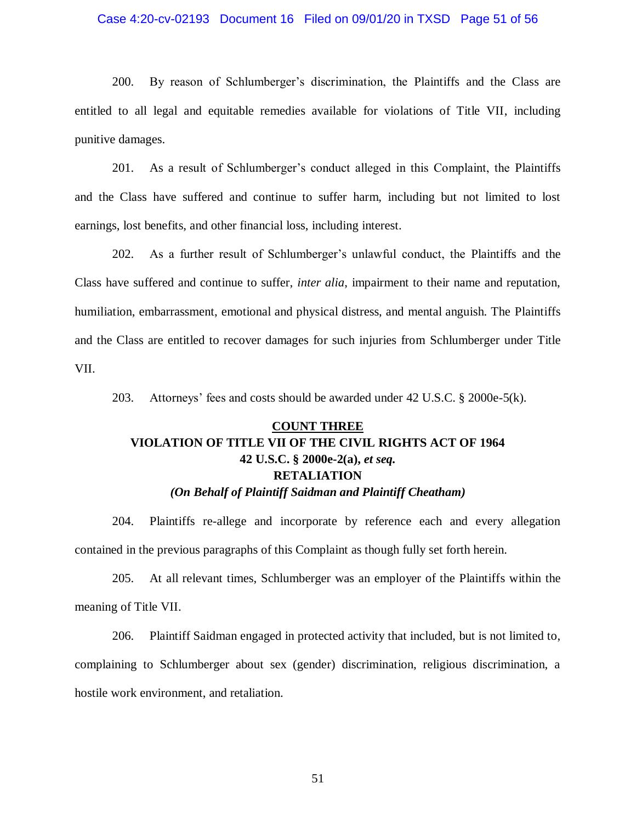#### Case 4:20-cv-02193 Document 16 Filed on 09/01/20 in TXSD Page 51 of 56

200. By reason of Schlumberger's discrimination, the Plaintiffs and the Class are entitled to all legal and equitable remedies available for violations of Title VII, including punitive damages.

201. As a result of Schlumberger's conduct alleged in this Complaint, the Plaintiffs and the Class have suffered and continue to suffer harm, including but not limited to lost earnings, lost benefits, and other financial loss, including interest.

202. As a further result of Schlumberger's unlawful conduct, the Plaintiffs and the Class have suffered and continue to suffer, *inter alia*, impairment to their name and reputation, humiliation, embarrassment, emotional and physical distress, and mental anguish. The Plaintiffs and the Class are entitled to recover damages for such injuries from Schlumberger under Title VII.

203. Attorneys' fees and costs should be awarded under 42 U.S.C. § 2000e-5(k).

# **COUNT THREE VIOLATION OF TITLE VII OF THE CIVIL RIGHTS ACT OF 1964 42 U.S.C. § 2000e-2(a),** *et seq.* **RETALIATION** *(On Behalf of Plaintiff Saidman and Plaintiff Cheatham)*

204. Plaintiffs re-allege and incorporate by reference each and every allegation contained in the previous paragraphs of this Complaint as though fully set forth herein.

205. At all relevant times, Schlumberger was an employer of the Plaintiffs within the meaning of Title VII.

206. Plaintiff Saidman engaged in protected activity that included, but is not limited to, complaining to Schlumberger about sex (gender) discrimination, religious discrimination, a hostile work environment, and retaliation.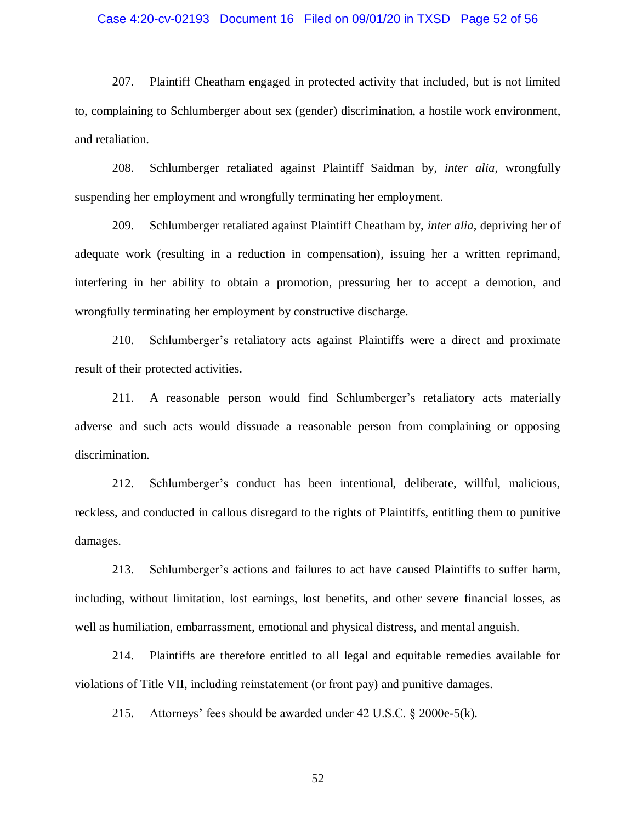#### Case 4:20-cv-02193 Document 16 Filed on 09/01/20 in TXSD Page 52 of 56

207. Plaintiff Cheatham engaged in protected activity that included, but is not limited to, complaining to Schlumberger about sex (gender) discrimination, a hostile work environment, and retaliation.

208. Schlumberger retaliated against Plaintiff Saidman by, *inter alia*, wrongfully suspending her employment and wrongfully terminating her employment.

209. Schlumberger retaliated against Plaintiff Cheatham by, *inter alia*, depriving her of adequate work (resulting in a reduction in compensation), issuing her a written reprimand, interfering in her ability to obtain a promotion, pressuring her to accept a demotion, and wrongfully terminating her employment by constructive discharge.

210. Schlumberger's retaliatory acts against Plaintiffs were a direct and proximate result of their protected activities.

211. A reasonable person would find Schlumberger's retaliatory acts materially adverse and such acts would dissuade a reasonable person from complaining or opposing discrimination.

212. Schlumberger's conduct has been intentional, deliberate, willful, malicious, reckless, and conducted in callous disregard to the rights of Plaintiffs, entitling them to punitive damages.

213. Schlumberger's actions and failures to act have caused Plaintiffs to suffer harm, including, without limitation, lost earnings, lost benefits, and other severe financial losses, as well as humiliation, embarrassment, emotional and physical distress, and mental anguish.

214. Plaintiffs are therefore entitled to all legal and equitable remedies available for violations of Title VII, including reinstatement (or front pay) and punitive damages.

215. Attorneys' fees should be awarded under 42 U.S.C. § 2000e-5(k).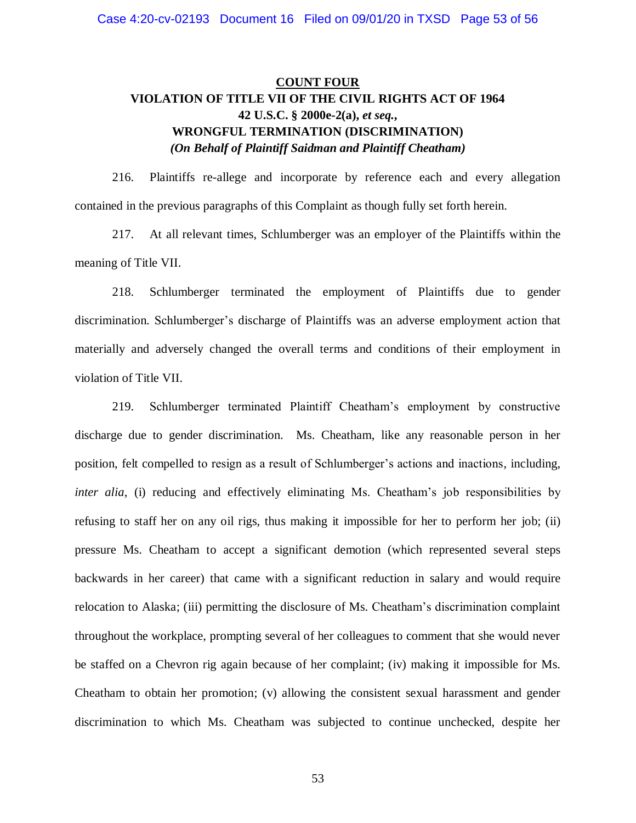# **COUNT FOUR VIOLATION OF TITLE VII OF THE CIVIL RIGHTS ACT OF 1964 42 U.S.C. § 2000e-2(a),** *et seq.***, WRONGFUL TERMINATION (DISCRIMINATION)** *(On Behalf of Plaintiff Saidman and Plaintiff Cheatham)*

216. Plaintiffs re-allege and incorporate by reference each and every allegation contained in the previous paragraphs of this Complaint as though fully set forth herein.

217. At all relevant times, Schlumberger was an employer of the Plaintiffs within the meaning of Title VII.

218. Schlumberger terminated the employment of Plaintiffs due to gender discrimination. Schlumberger's discharge of Plaintiffs was an adverse employment action that materially and adversely changed the overall terms and conditions of their employment in violation of Title VII.

219. Schlumberger terminated Plaintiff Cheatham's employment by constructive discharge due to gender discrimination. Ms. Cheatham, like any reasonable person in her position, felt compelled to resign as a result of Schlumberger's actions and inactions, including, *inter alia*, (i) reducing and effectively eliminating Ms. Cheatham's job responsibilities by refusing to staff her on any oil rigs, thus making it impossible for her to perform her job; (ii) pressure Ms. Cheatham to accept a significant demotion (which represented several steps backwards in her career) that came with a significant reduction in salary and would require relocation to Alaska; (iii) permitting the disclosure of Ms. Cheatham's discrimination complaint throughout the workplace, prompting several of her colleagues to comment that she would never be staffed on a Chevron rig again because of her complaint; (iv) making it impossible for Ms. Cheatham to obtain her promotion; (v) allowing the consistent sexual harassment and gender discrimination to which Ms. Cheatham was subjected to continue unchecked, despite her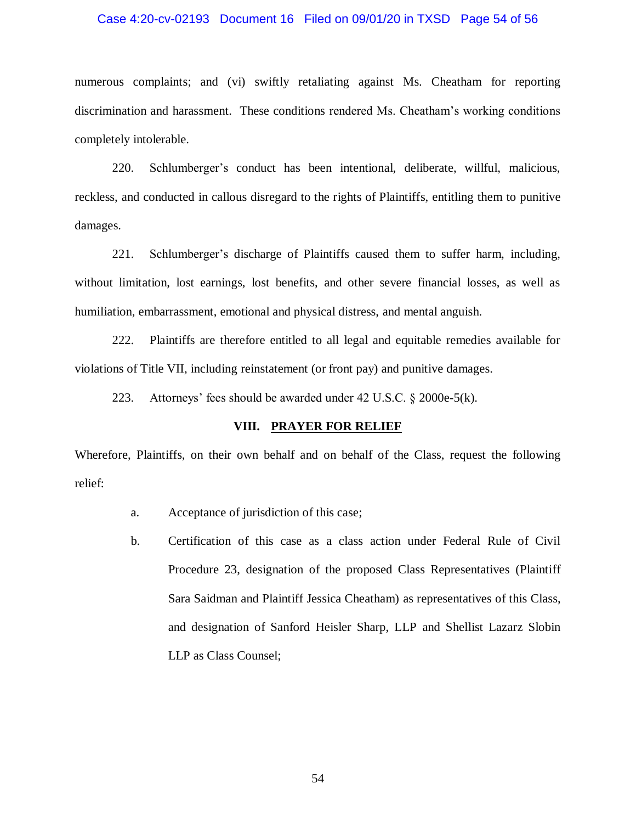#### Case 4:20-cv-02193 Document 16 Filed on 09/01/20 in TXSD Page 54 of 56

numerous complaints; and (vi) swiftly retaliating against Ms. Cheatham for reporting discrimination and harassment. These conditions rendered Ms. Cheatham's working conditions completely intolerable.

220. Schlumberger's conduct has been intentional, deliberate, willful, malicious, reckless, and conducted in callous disregard to the rights of Plaintiffs, entitling them to punitive damages.

221. Schlumberger's discharge of Plaintiffs caused them to suffer harm, including, without limitation, lost earnings, lost benefits, and other severe financial losses, as well as humiliation, embarrassment, emotional and physical distress, and mental anguish.

222. Plaintiffs are therefore entitled to all legal and equitable remedies available for violations of Title VII, including reinstatement (or front pay) and punitive damages.

223. Attorneys' fees should be awarded under 42 U.S.C. § 2000e-5(k).

## **VIII. PRAYER FOR RELIEF**

Wherefore, Plaintiffs, on their own behalf and on behalf of the Class, request the following relief:

- a. Acceptance of jurisdiction of this case;
- b. Certification of this case as a class action under Federal Rule of Civil Procedure 23, designation of the proposed Class Representatives (Plaintiff Sara Saidman and Plaintiff Jessica Cheatham) as representatives of this Class, and designation of Sanford Heisler Sharp, LLP and Shellist Lazarz Slobin LLP as Class Counsel;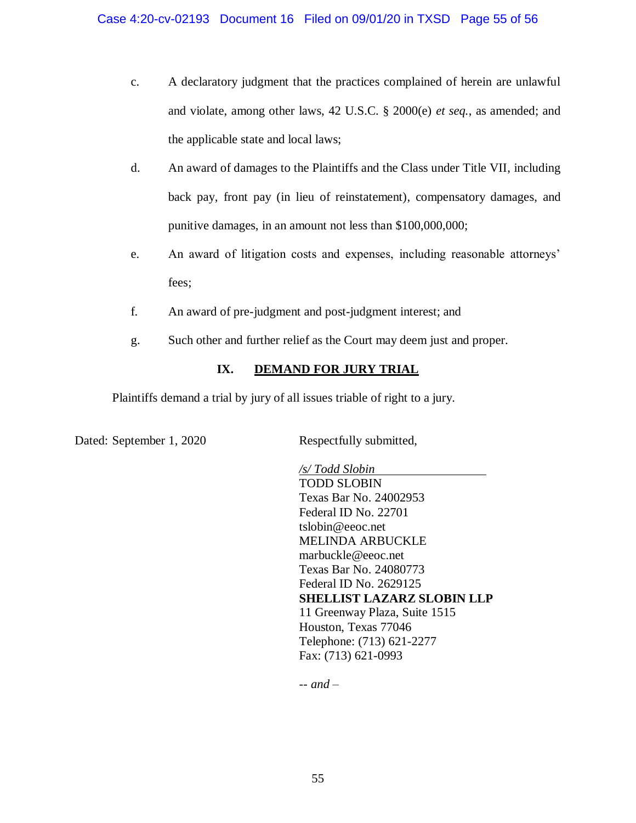- c. A declaratory judgment that the practices complained of herein are unlawful and violate, among other laws, 42 U.S.C. § 2000(e) *et seq.*, as amended; and the applicable state and local laws;
- d. An award of damages to the Plaintiffs and the Class under Title VII, including back pay, front pay (in lieu of reinstatement), compensatory damages, and punitive damages, in an amount not less than \$100,000,000;
- e. An award of litigation costs and expenses, including reasonable attorneys' fees;
- f. An award of pre-judgment and post-judgment interest; and
- g. Such other and further relief as the Court may deem just and proper.

# **IX. DEMAND FOR JURY TRIAL**

Plaintiffs demand a trial by jury of all issues triable of right to a jury.

Dated: September 1, 2020 Respectfully submitted,

*/s/ Todd Slobin* TODD SLOBIN Texas Bar No. 24002953 Federal ID No. 22701 tslobin@eeoc.net MELINDA ARBUCKLE marbuckle@eeoc.net Texas Bar No. 24080773 Federal ID No. 2629125 **SHELLIST LAZARZ SLOBIN LLP** 11 Greenway Plaza, Suite 1515 Houston, Texas 77046 Telephone: (713) 621-2277 Fax: (713) 621-0993

*-- and –*